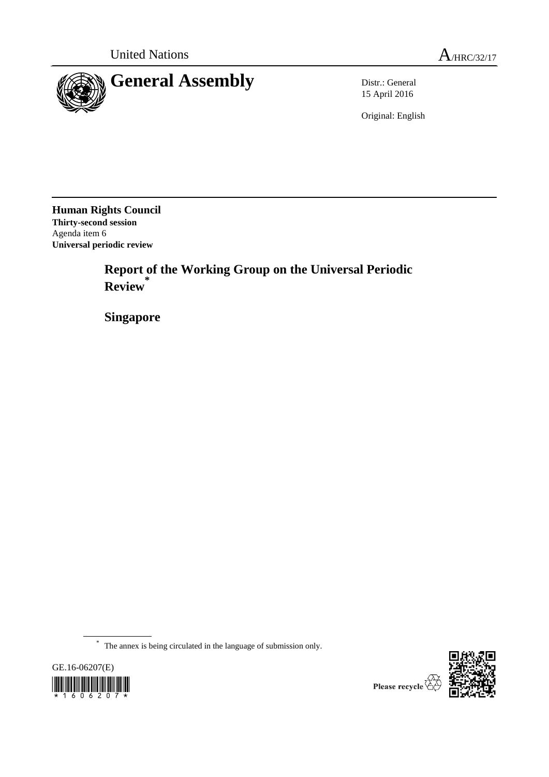

15 April 2016

Original: English

**Human Rights Council Thirty-second session** Agenda item 6 **Universal periodic review**

> **Report of the Working Group on the Universal Periodic Review \***

**Singapore**

\* The annex is being circulated in the language of submission only.





Please recycle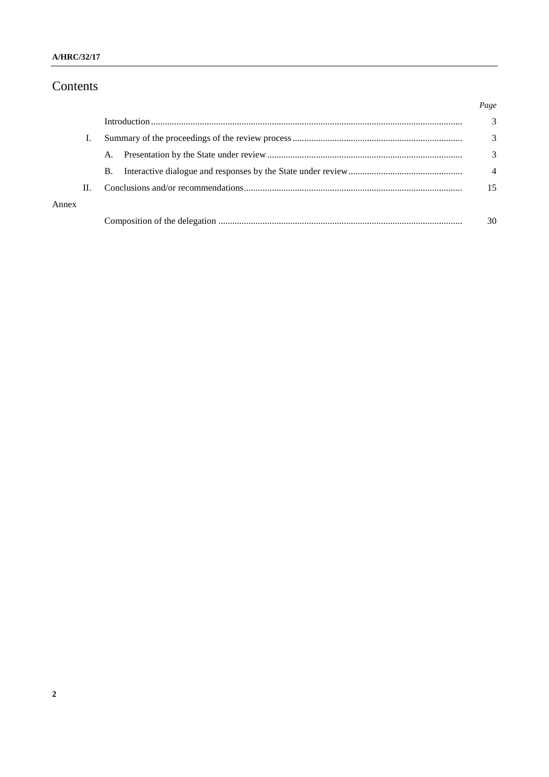# Contents

|       |    |    |  | Page           |
|-------|----|----|--|----------------|
|       |    |    |  | 3              |
|       |    |    |  | 3              |
|       |    | A. |  | 3              |
|       |    | B. |  | $\overline{4}$ |
|       | H. |    |  | 15             |
| Annex |    |    |  |                |
|       |    |    |  | 30             |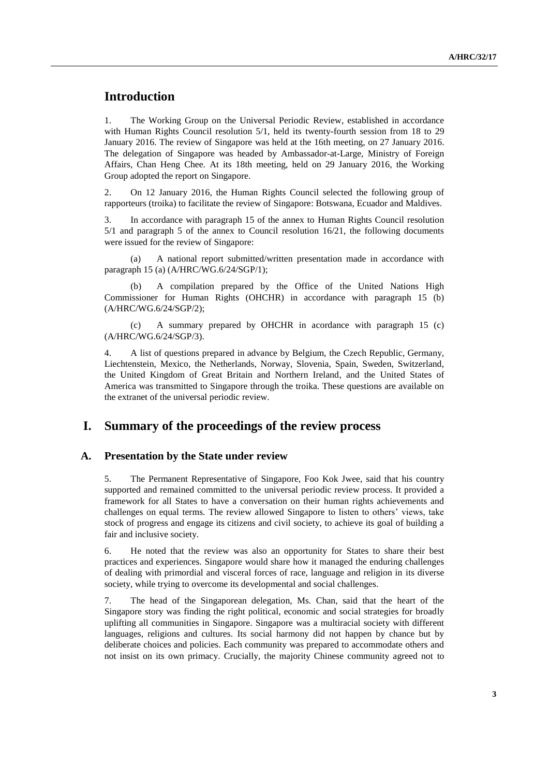## **Introduction**

1. The Working Group on the Universal Periodic Review, established in accordance with Human Rights Council resolution 5/1, held its twenty-fourth session from 18 to 29 January 2016. The review of Singapore was held at the 16th meeting, on 27 January 2016. The delegation of Singapore was headed by Ambassador-at-Large, Ministry of Foreign Affairs, Chan Heng Chee. At its 18th meeting, held on 29 January 2016, the Working Group adopted the report on Singapore.

2. On 12 January 2016, the Human Rights Council selected the following group of rapporteurs (troika) to facilitate the review of Singapore: Botswana, Ecuador and Maldives.

3. In accordance with paragraph 15 of the annex to Human Rights Council resolution 5/1 and paragraph 5 of the annex to Council resolution 16/21, the following documents were issued for the review of Singapore:

(a) A national report submitted/written presentation made in accordance with paragraph 15 (a) (A/HRC/WG.6/24/SGP/1);

(b) A compilation prepared by the Office of the United Nations High Commissioner for Human Rights (OHCHR) in accordance with paragraph 15 (b) (A/HRC/WG.6/24/SGP/2);

(c) A summary prepared by OHCHR in acordance with paragraph 15 (c) (A/HRC/WG.6/24/SGP/3).

4. A list of questions prepared in advance by Belgium, the Czech Republic, Germany, Liechtenstein, Mexico, the Netherlands, Norway, Slovenia, Spain, Sweden, Switzerland, the United Kingdom of Great Britain and Northern Ireland, and the United States of America was transmitted to Singapore through the troika. These questions are available on the extranet of the universal periodic review.

### **I. Summary of the proceedings of the review process**

#### **A. Presentation by the State under review**

5. The Permanent Representative of Singapore, Foo Kok Jwee, said that his country supported and remained committed to the universal periodic review process. It provided a framework for all States to have a conversation on their human rights achievements and challenges on equal terms. The review allowed Singapore to listen to others' views, take stock of progress and engage its citizens and civil society, to achieve its goal of building a fair and inclusive society.

6. He noted that the review was also an opportunity for States to share their best practices and experiences. Singapore would share how it managed the enduring challenges of dealing with primordial and visceral forces of race, language and religion in its diverse society, while trying to overcome its developmental and social challenges.

7. The head of the Singaporean delegation, Ms. Chan, said that the heart of the Singapore story was finding the right political, economic and social strategies for broadly uplifting all communities in Singapore. Singapore was a multiracial society with different languages, religions and cultures. Its social harmony did not happen by chance but by deliberate choices and policies. Each community was prepared to accommodate others and not insist on its own primacy. Crucially, the majority Chinese community agreed not to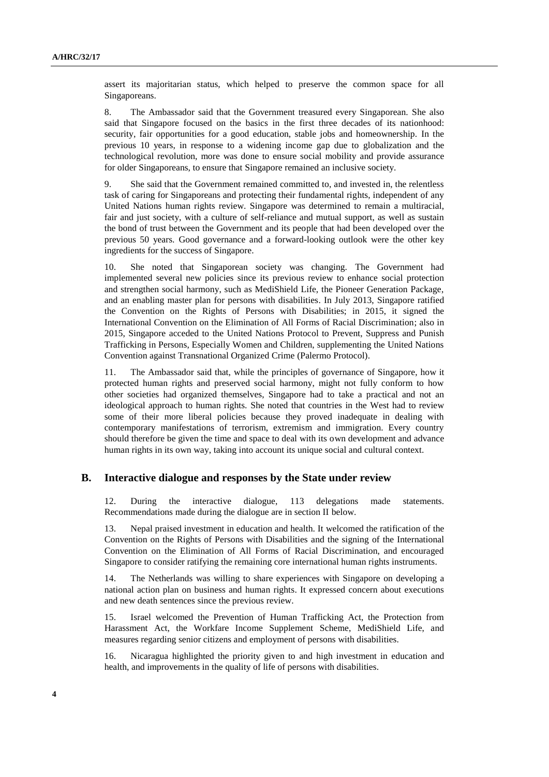assert its majoritarian status, which helped to preserve the common space for all Singaporeans.

8. The Ambassador said that the Government treasured every Singaporean. She also said that Singapore focused on the basics in the first three decades of its nationhood: security, fair opportunities for a good education, stable jobs and homeownership. In the previous 10 years, in response to a widening income gap due to globalization and the technological revolution, more was done to ensure social mobility and provide assurance for older Singaporeans, to ensure that Singapore remained an inclusive society.

9. She said that the Government remained committed to, and invested in, the relentless task of caring for Singaporeans and protecting their fundamental rights, independent of any United Nations human rights review. Singapore was determined to remain a multiracial, fair and just society, with a culture of self-reliance and mutual support, as well as sustain the bond of trust between the Government and its people that had been developed over the previous 50 years. Good governance and a forward-looking outlook were the other key ingredients for the success of Singapore.

10. She noted that Singaporean society was changing. The Government had implemented several new policies since its previous review to enhance social protection and strengthen social harmony, such as MediShield Life, the Pioneer Generation Package, and an enabling master plan for persons with disabilities. In July 2013, Singapore ratified the Convention on the Rights of Persons with Disabilities; in 2015, it signed the International Convention on the Elimination of All Forms of Racial Discrimination; also in 2015, Singapore acceded to the United Nations Protocol to Prevent, Suppress and Punish Trafficking in Persons, Especially Women and Children, supplementing the United Nations Convention against Transnational Organized Crime (Palermo Protocol).

11. The Ambassador said that, while the principles of governance of Singapore, how it protected human rights and preserved social harmony, might not fully conform to how other societies had organized themselves, Singapore had to take a practical and not an ideological approach to human rights. She noted that countries in the West had to review some of their more liberal policies because they proved inadequate in dealing with contemporary manifestations of terrorism, extremism and immigration. Every country should therefore be given the time and space to deal with its own development and advance human rights in its own way, taking into account its unique social and cultural context.

#### **B. Interactive dialogue and responses by the State under review**

12. During the interactive dialogue, 113 delegations made statements. Recommendations made during the dialogue are in section II below.

13. Nepal praised investment in education and health. It welcomed the ratification of the Convention on the Rights of Persons with Disabilities and the signing of the International Convention on the Elimination of All Forms of Racial Discrimination, and encouraged Singapore to consider ratifying the remaining core international human rights instruments.

14. The Netherlands was willing to share experiences with Singapore on developing a national action plan on business and human rights. It expressed concern about executions and new death sentences since the previous review.

15. Israel welcomed the Prevention of Human Trafficking Act, the Protection from Harassment Act, the Workfare Income Supplement Scheme, MediShield Life, and measures regarding senior citizens and employment of persons with disabilities.

16. Nicaragua highlighted the priority given to and high investment in education and health, and improvements in the quality of life of persons with disabilities.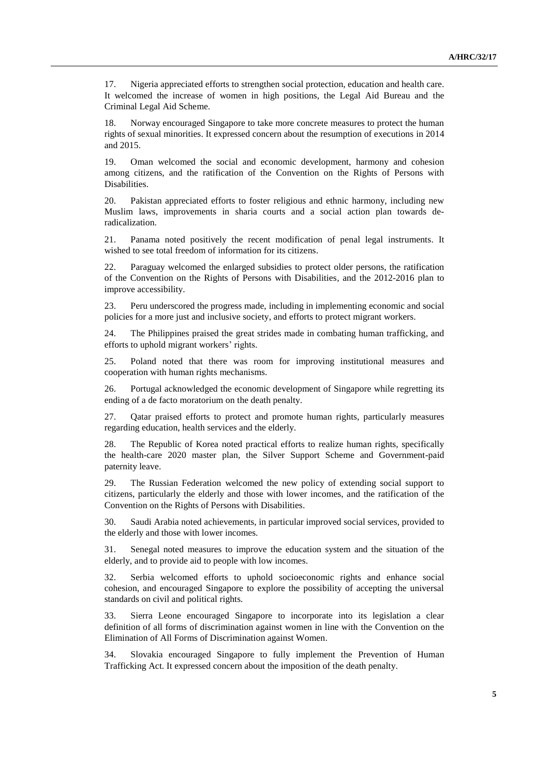17. Nigeria appreciated efforts to strengthen social protection, education and health care. It welcomed the increase of women in high positions, the Legal Aid Bureau and the Criminal Legal Aid Scheme.

18. Norway encouraged Singapore to take more concrete measures to protect the human rights of sexual minorities. It expressed concern about the resumption of executions in 2014 and 2015.

19. Oman welcomed the social and economic development, harmony and cohesion among citizens, and the ratification of the Convention on the Rights of Persons with Disabilities.

20. Pakistan appreciated efforts to foster religious and ethnic harmony, including new Muslim laws, improvements in sharia courts and a social action plan towards deradicalization.

21. Panama noted positively the recent modification of penal legal instruments. It wished to see total freedom of information for its citizens.

22. Paraguay welcomed the enlarged subsidies to protect older persons, the ratification of the Convention on the Rights of Persons with Disabilities, and the 2012-2016 plan to improve accessibility.

23. Peru underscored the progress made, including in implementing economic and social policies for a more just and inclusive society, and efforts to protect migrant workers.

24. The Philippines praised the great strides made in combating human trafficking, and efforts to uphold migrant workers' rights.

25. Poland noted that there was room for improving institutional measures and cooperation with human rights mechanisms.

26. Portugal acknowledged the economic development of Singapore while regretting its ending of a de facto moratorium on the death penalty.

27. Qatar praised efforts to protect and promote human rights, particularly measures regarding education, health services and the elderly.

28. The Republic of Korea noted practical efforts to realize human rights, specifically the health-care 2020 master plan, the Silver Support Scheme and Government-paid paternity leave.

29. The Russian Federation welcomed the new policy of extending social support to citizens, particularly the elderly and those with lower incomes, and the ratification of the Convention on the Rights of Persons with Disabilities.

30. Saudi Arabia noted achievements, in particular improved social services, provided to the elderly and those with lower incomes.

31. Senegal noted measures to improve the education system and the situation of the elderly, and to provide aid to people with low incomes.

32. Serbia welcomed efforts to uphold socioeconomic rights and enhance social cohesion, and encouraged Singapore to explore the possibility of accepting the universal standards on civil and political rights.

33. Sierra Leone encouraged Singapore to incorporate into its legislation a clear definition of all forms of discrimination against women in line with the Convention on the Elimination of All Forms of Discrimination against Women.

34. Slovakia encouraged Singapore to fully implement the Prevention of Human Trafficking Act. It expressed concern about the imposition of the death penalty.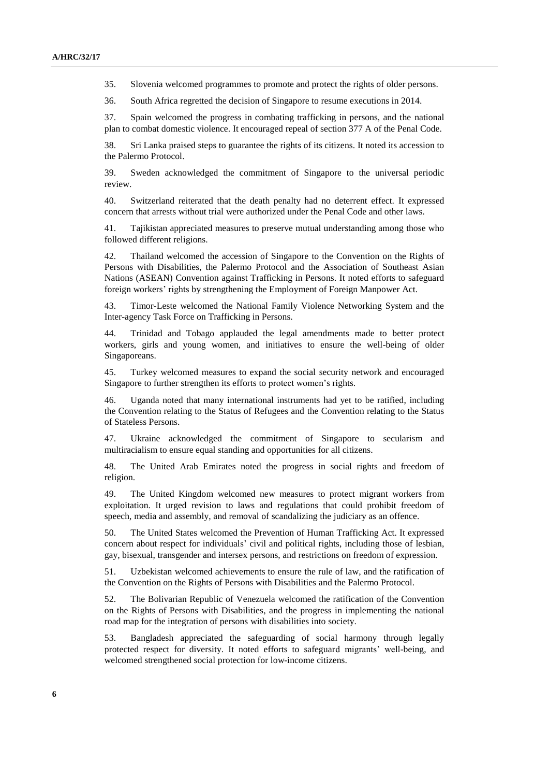35. Slovenia welcomed programmes to promote and protect the rights of older persons.

36. South Africa regretted the decision of Singapore to resume executions in 2014.

37. Spain welcomed the progress in combating trafficking in persons, and the national plan to combat domestic violence. It encouraged repeal of section 377 A of the Penal Code.

38. Sri Lanka praised steps to guarantee the rights of its citizens. It noted its accession to the Palermo Protocol.

39. Sweden acknowledged the commitment of Singapore to the universal periodic review.

40. Switzerland reiterated that the death penalty had no deterrent effect. It expressed concern that arrests without trial were authorized under the Penal Code and other laws.

41. Tajikistan appreciated measures to preserve mutual understanding among those who followed different religions.

42. Thailand welcomed the accession of Singapore to the Convention on the Rights of Persons with Disabilities, the Palermo Protocol and the Association of Southeast Asian Nations (ASEAN) Convention against Trafficking in Persons. It noted efforts to safeguard foreign workers' rights by strengthening the Employment of Foreign Manpower Act.

43. Timor-Leste welcomed the National Family Violence Networking System and the Inter-agency Task Force on Trafficking in Persons.

44. Trinidad and Tobago applauded the legal amendments made to better protect workers, girls and young women, and initiatives to ensure the well-being of older Singaporeans.

45. Turkey welcomed measures to expand the social security network and encouraged Singapore to further strengthen its efforts to protect women's rights.

46. Uganda noted that many international instruments had yet to be ratified, including the Convention relating to the Status of Refugees and the Convention relating to the Status of Stateless Persons.

47. Ukraine acknowledged the commitment of Singapore to secularism and multiracialism to ensure equal standing and opportunities for all citizens.

48. The United Arab Emirates noted the progress in social rights and freedom of religion.

49. The United Kingdom welcomed new measures to protect migrant workers from exploitation. It urged revision to laws and regulations that could prohibit freedom of speech, media and assembly, and removal of scandalizing the judiciary as an offence.

50. The United States welcomed the Prevention of Human Trafficking Act. It expressed concern about respect for individuals' civil and political rights, including those of lesbian, gay, bisexual, transgender and intersex persons, and restrictions on freedom of expression.

51. Uzbekistan welcomed achievements to ensure the rule of law, and the ratification of the Convention on the Rights of Persons with Disabilities and the Palermo Protocol.

52. The Bolivarian Republic of Venezuela welcomed the ratification of the Convention on the Rights of Persons with Disabilities, and the progress in implementing the national road map for the integration of persons with disabilities into society.

53. Bangladesh appreciated the safeguarding of social harmony through legally protected respect for diversity. It noted efforts to safeguard migrants' well-being, and welcomed strengthened social protection for low-income citizens.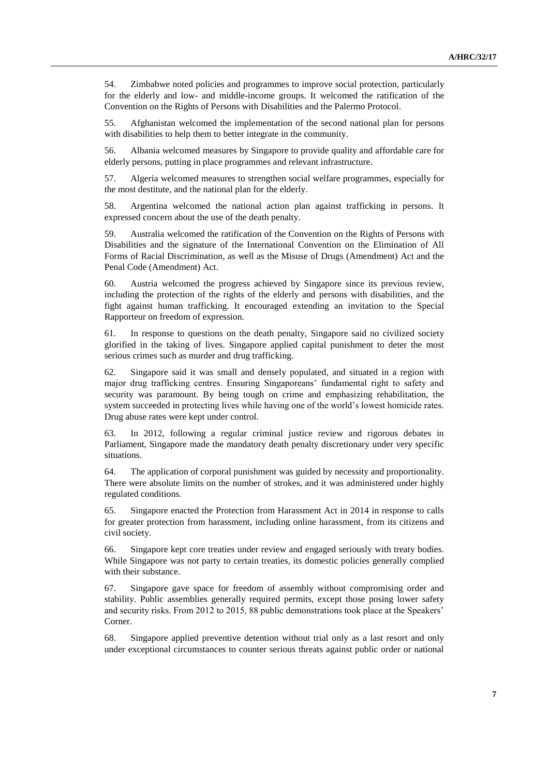54. Zimbabwe noted policies and programmes to improve social protection, particularly for the elderly and low- and middle-income groups. It welcomed the ratification of the Convention on the Rights of Persons with Disabilities and the Palermo Protocol.

55. Afghanistan welcomed the implementation of the second national plan for persons with disabilities to help them to better integrate in the community.

56. Albania welcomed measures by Singapore to provide quality and affordable care for elderly persons, putting in place programmes and relevant infrastructure.

57. Algeria welcomed measures to strengthen social welfare programmes, especially for the most destitute, and the national plan for the elderly.

58. Argentina welcomed the national action plan against trafficking in persons. It expressed concern about the use of the death penalty.

59. Australia welcomed the ratification of the Convention on the Rights of Persons with Disabilities and the signature of the International Convention on the Elimination of All Forms of Racial Discrimination, as well as the Misuse of Drugs (Amendment) Act and the Penal Code (Amendment) Act.

60. Austria welcomed the progress achieved by Singapore since its previous review, including the protection of the rights of the elderly and persons with disabilities, and the fight against human trafficking. It encouraged extending an invitation to the Special Rapporteur on freedom of expression.

61. In response to questions on the death penalty, Singapore said no civilized society glorified in the taking of lives. Singapore applied capital punishment to deter the most serious crimes such as murder and drug trafficking.

62. Singapore said it was small and densely populated, and situated in a region with major drug trafficking centres. Ensuring Singaporeans' fundamental right to safety and security was paramount. By being tough on crime and emphasizing rehabilitation, the system succeeded in protecting lives while having one of the world's lowest homicide rates. Drug abuse rates were kept under control.

63. In 2012, following a regular criminal justice review and rigorous debates in Parliament, Singapore made the mandatory death penalty discretionary under very specific situations.

64. The application of corporal punishment was guided by necessity and proportionality. There were absolute limits on the number of strokes, and it was administered under highly regulated conditions.

65. Singapore enacted the Protection from Harassment Act in 2014 in response to calls for greater protection from harassment, including online harassment, from its citizens and civil society.

66. Singapore kept core treaties under review and engaged seriously with treaty bodies. While Singapore was not party to certain treaties, its domestic policies generally complied with their substance.

67. Singapore gave space for freedom of assembly without compromising order and stability. Public assemblies generally required permits, except those posing lower safety and security risks. From 2012 to 2015, 88 public demonstrations took place at the Speakers' Corner.

68. Singapore applied preventive detention without trial only as a last resort and only under exceptional circumstances to counter serious threats against public order or national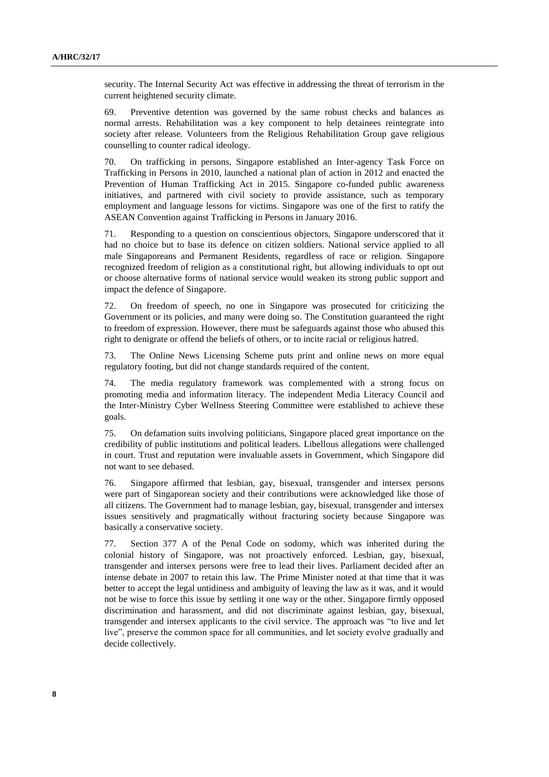security. The Internal Security Act was effective in addressing the threat of terrorism in the current heightened security climate.

69. Preventive detention was governed by the same robust checks and balances as normal arrests. Rehabilitation was a key component to help detainees reintegrate into society after release. Volunteers from the Religious Rehabilitation Group gave religious counselling to counter radical ideology.

70. On trafficking in persons, Singapore established an Inter-agency Task Force on Trafficking in Persons in 2010, launched a national plan of action in 2012 and enacted the Prevention of Human Trafficking Act in 2015. Singapore co-funded public awareness initiatives, and partnered with civil society to provide assistance, such as temporary employment and language lessons for victims. Singapore was one of the first to ratify the ASEAN Convention against Trafficking in Persons in January 2016.

71. Responding to a question on conscientious objectors, Singapore underscored that it had no choice but to base its defence on citizen soldiers. National service applied to all male Singaporeans and Permanent Residents, regardless of race or religion. Singapore recognized freedom of religion as a constitutional right, but allowing individuals to opt out or choose alternative forms of national service would weaken its strong public support and impact the defence of Singapore.

72. On freedom of speech, no one in Singapore was prosecuted for criticizing the Government or its policies, and many were doing so. The Constitution guaranteed the right to freedom of expression. However, there must be safeguards against those who abused this right to denigrate or offend the beliefs of others, or to incite racial or religious hatred.

73. The Online News Licensing Scheme puts print and online news on more equal regulatory footing, but did not change standards required of the content.

74. The media regulatory framework was complemented with a strong focus on promoting media and information literacy. The independent Media Literacy Council and the Inter-Ministry Cyber Wellness Steering Committee were established to achieve these goals.

75. On defamation suits involving politicians, Singapore placed great importance on the credibility of public institutions and political leaders. Libellous allegations were challenged in court. Trust and reputation were invaluable assets in Government, which Singapore did not want to see debased.

76. Singapore affirmed that lesbian, gay, bisexual, transgender and intersex persons were part of Singaporean society and their contributions were acknowledged like those of all citizens. The Government had to manage lesbian, gay, bisexual, transgender and intersex issues sensitively and pragmatically without fracturing society because Singapore was basically a conservative society.

77. Section 377 A of the Penal Code on sodomy, which was inherited during the colonial history of Singapore, was not proactively enforced. Lesbian, gay, bisexual, transgender and intersex persons were free to lead their lives. Parliament decided after an intense debate in 2007 to retain this law. The Prime Minister noted at that time that it was better to accept the legal untidiness and ambiguity of leaving the law as it was, and it would not be wise to force this issue by settling it one way or the other. Singapore firmly opposed discrimination and harassment, and did not discriminate against lesbian, gay, bisexual, transgender and intersex applicants to the civil service. The approach was "to live and let live", preserve the common space for all communities, and let society evolve gradually and decide collectively.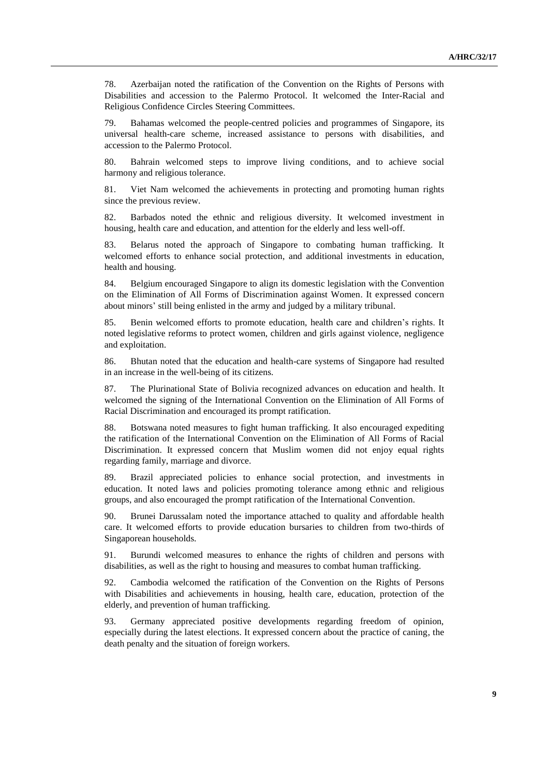78. Azerbaijan noted the ratification of the Convention on the Rights of Persons with Disabilities and accession to the Palermo Protocol. It welcomed the Inter-Racial and Religious Confidence Circles Steering Committees.

79. Bahamas welcomed the people-centred policies and programmes of Singapore, its universal health-care scheme, increased assistance to persons with disabilities, and accession to the Palermo Protocol.

80. Bahrain welcomed steps to improve living conditions, and to achieve social harmony and religious tolerance.

81. Viet Nam welcomed the achievements in protecting and promoting human rights since the previous review.

82. Barbados noted the ethnic and religious diversity. It welcomed investment in housing, health care and education, and attention for the elderly and less well-off.

83. Belarus noted the approach of Singapore to combating human trafficking. It welcomed efforts to enhance social protection, and additional investments in education, health and housing.

84. Belgium encouraged Singapore to align its domestic legislation with the Convention on the Elimination of All Forms of Discrimination against Women. It expressed concern about minors' still being enlisted in the army and judged by a military tribunal.

85. Benin welcomed efforts to promote education, health care and children's rights. It noted legislative reforms to protect women, children and girls against violence, negligence and exploitation.

86. Bhutan noted that the education and health-care systems of Singapore had resulted in an increase in the well-being of its citizens.

87. The Plurinational State of Bolivia recognized advances on education and health. It welcomed the signing of the International Convention on the Elimination of All Forms of Racial Discrimination and encouraged its prompt ratification.

88. Botswana noted measures to fight human trafficking. It also encouraged expediting the ratification of the International Convention on the Elimination of All Forms of Racial Discrimination. It expressed concern that Muslim women did not enjoy equal rights regarding family, marriage and divorce.

89. Brazil appreciated policies to enhance social protection, and investments in education. It noted laws and policies promoting tolerance among ethnic and religious groups, and also encouraged the prompt ratification of the International Convention.

90. Brunei Darussalam noted the importance attached to quality and affordable health care. It welcomed efforts to provide education bursaries to children from two-thirds of Singaporean households.

91. Burundi welcomed measures to enhance the rights of children and persons with disabilities, as well as the right to housing and measures to combat human trafficking.

92. Cambodia welcomed the ratification of the Convention on the Rights of Persons with Disabilities and achievements in housing, health care, education, protection of the elderly, and prevention of human trafficking.

93. Germany appreciated positive developments regarding freedom of opinion, especially during the latest elections. It expressed concern about the practice of caning, the death penalty and the situation of foreign workers.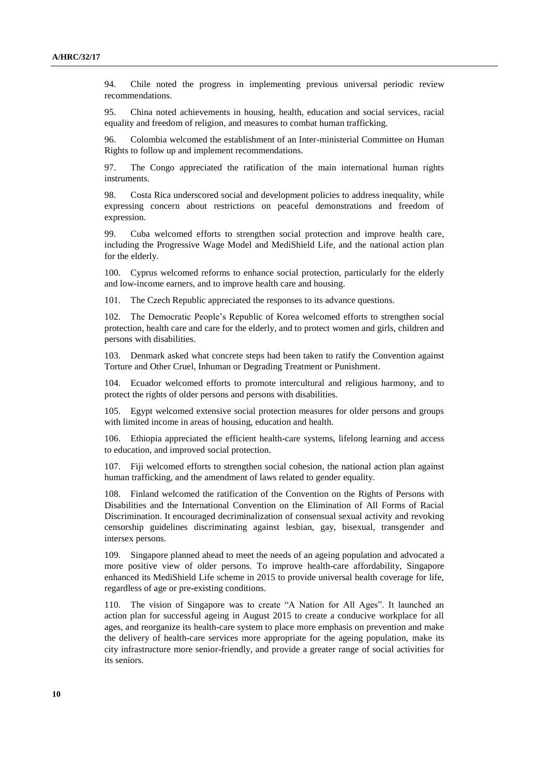94. Chile noted the progress in implementing previous universal periodic review recommendations.

95. China noted achievements in housing, health, education and social services, racial equality and freedom of religion, and measures to combat human trafficking.

96. Colombia welcomed the establishment of an Inter-ministerial Committee on Human Rights to follow up and implement recommendations.

97. The Congo appreciated the ratification of the main international human rights instruments.

98. Costa Rica underscored social and development policies to address inequality, while expressing concern about restrictions on peaceful demonstrations and freedom of expression.

99. Cuba welcomed efforts to strengthen social protection and improve health care, including the Progressive Wage Model and MediShield Life, and the national action plan for the elderly.

100. Cyprus welcomed reforms to enhance social protection, particularly for the elderly and low-income earners, and to improve health care and housing.

101. The Czech Republic appreciated the responses to its advance questions.

102. The Democratic People's Republic of Korea welcomed efforts to strengthen social protection, health care and care for the elderly, and to protect women and girls, children and persons with disabilities.

103. Denmark asked what concrete steps had been taken to ratify the Convention against Torture and Other Cruel, Inhuman or Degrading Treatment or Punishment.

104. Ecuador welcomed efforts to promote intercultural and religious harmony, and to protect the rights of older persons and persons with disabilities.

105. Egypt welcomed extensive social protection measures for older persons and groups with limited income in areas of housing, education and health.

106. Ethiopia appreciated the efficient health-care systems, lifelong learning and access to education, and improved social protection.

107. Fiji welcomed efforts to strengthen social cohesion, the national action plan against human trafficking, and the amendment of laws related to gender equality.

108. Finland welcomed the ratification of the Convention on the Rights of Persons with Disabilities and the International Convention on the Elimination of All Forms of Racial Discrimination. It encouraged decriminalization of consensual sexual activity and revoking censorship guidelines discriminating against lesbian, gay, bisexual, transgender and intersex persons.

109. Singapore planned ahead to meet the needs of an ageing population and advocated a more positive view of older persons. To improve health-care affordability, Singapore enhanced its MediShield Life scheme in 2015 to provide universal health coverage for life, regardless of age or pre-existing conditions.

110. The vision of Singapore was to create "A Nation for All Ages". It launched an action plan for successful ageing in August 2015 to create a conducive workplace for all ages, and reorganize its health-care system to place more emphasis on prevention and make the delivery of health-care services more appropriate for the ageing population, make its city infrastructure more senior-friendly, and provide a greater range of social activities for its seniors.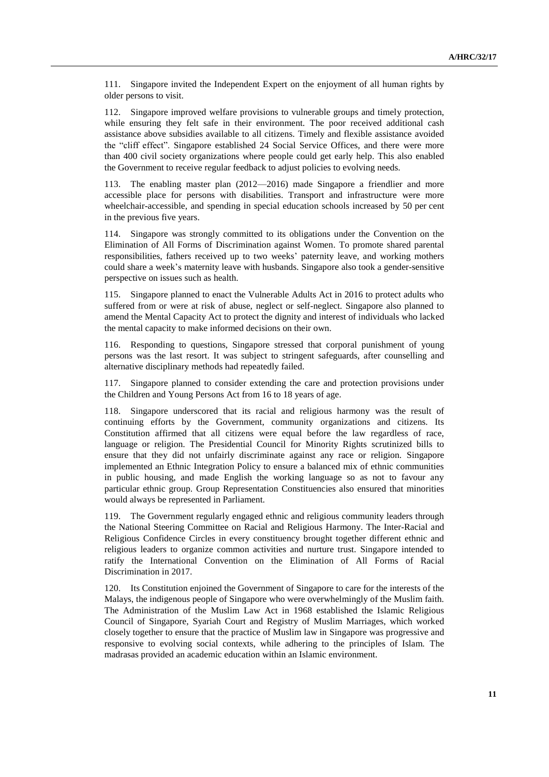111. Singapore invited the Independent Expert on the enjoyment of all human rights by older persons to visit.

112. Singapore improved welfare provisions to vulnerable groups and timely protection, while ensuring they felt safe in their environment. The poor received additional cash assistance above subsidies available to all citizens. Timely and flexible assistance avoided the "cliff effect". Singapore established 24 Social Service Offices, and there were more than 400 civil society organizations where people could get early help. This also enabled the Government to receive regular feedback to adjust policies to evolving needs.

The enabling master plan  $(2012-2016)$  made Singapore a friendlier and more accessible place for persons with disabilities. Transport and infrastructure were more wheelchair-accessible, and spending in special education schools increased by 50 per cent in the previous five years.

114. Singapore was strongly committed to its obligations under the Convention on the Elimination of All Forms of Discrimination against Women. To promote shared parental responsibilities, fathers received up to two weeks' paternity leave, and working mothers could share a week's maternity leave with husbands. Singapore also took a gender-sensitive perspective on issues such as health.

115. Singapore planned to enact the Vulnerable Adults Act in 2016 to protect adults who suffered from or were at risk of abuse, neglect or self-neglect. Singapore also planned to amend the Mental Capacity Act to protect the dignity and interest of individuals who lacked the mental capacity to make informed decisions on their own.

Responding to questions, Singapore stressed that corporal punishment of young persons was the last resort. It was subject to stringent safeguards, after counselling and alternative disciplinary methods had repeatedly failed.

Singapore planned to consider extending the care and protection provisions under the Children and Young Persons Act from 16 to 18 years of age.

118. Singapore underscored that its racial and religious harmony was the result of continuing efforts by the Government, community organizations and citizens. Its Constitution affirmed that all citizens were equal before the law regardless of race, language or religion. The Presidential Council for Minority Rights scrutinized bills to ensure that they did not unfairly discriminate against any race or religion. Singapore implemented an Ethnic Integration Policy to ensure a balanced mix of ethnic communities in public housing, and made English the working language so as not to favour any particular ethnic group. Group Representation Constituencies also ensured that minorities would always be represented in Parliament.

119. The Government regularly engaged ethnic and religious community leaders through the National Steering Committee on Racial and Religious Harmony. The Inter-Racial and Religious Confidence Circles in every constituency brought together different ethnic and religious leaders to organize common activities and nurture trust. Singapore intended to ratify the International Convention on the Elimination of All Forms of Racial Discrimination in 2017.

120. Its Constitution enjoined the Government of Singapore to care for the interests of the Malays, the indigenous people of Singapore who were overwhelmingly of the Muslim faith. The Administration of the Muslim Law Act in 1968 established the Islamic Religious Council of Singapore, Syariah Court and Registry of Muslim Marriages, which worked closely together to ensure that the practice of Muslim law in Singapore was progressive and responsive to evolving social contexts, while adhering to the principles of Islam. The madrasas provided an academic education within an Islamic environment.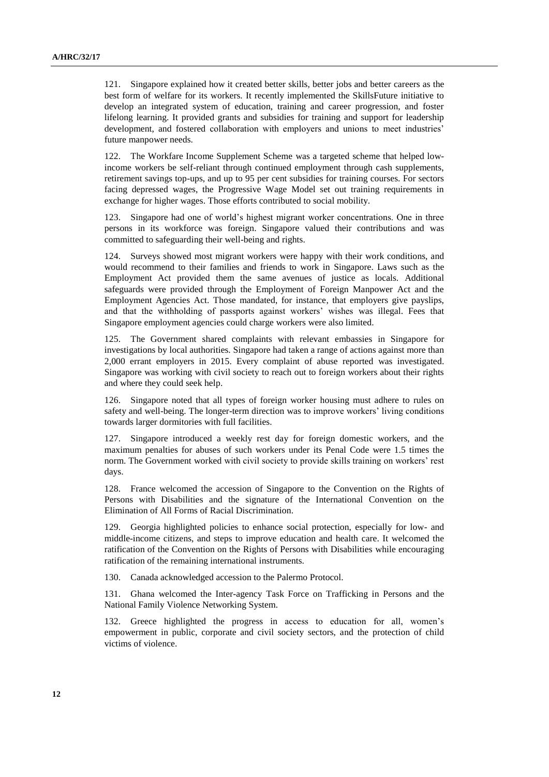121. Singapore explained how it created better skills, better jobs and better careers as the best form of welfare for its workers. It recently implemented the SkillsFuture initiative to develop an integrated system of education, training and career progression, and foster lifelong learning. It provided grants and subsidies for training and support for leadership development, and fostered collaboration with employers and unions to meet industries' future manpower needs.

122. The Workfare Income Supplement Scheme was a targeted scheme that helped lowincome workers be self-reliant through continued employment through cash supplements, retirement savings top-ups, and up to 95 per cent subsidies for training courses. For sectors facing depressed wages, the Progressive Wage Model set out training requirements in exchange for higher wages. Those efforts contributed to social mobility.

Singapore had one of world's highest migrant worker concentrations. One in three persons in its workforce was foreign. Singapore valued their contributions and was committed to safeguarding their well-being and rights.

124. Surveys showed most migrant workers were happy with their work conditions, and would recommend to their families and friends to work in Singapore. Laws such as the Employment Act provided them the same avenues of justice as locals. Additional safeguards were provided through the Employment of Foreign Manpower Act and the Employment Agencies Act. Those mandated, for instance, that employers give payslips, and that the withholding of passports against workers' wishes was illegal. Fees that Singapore employment agencies could charge workers were also limited.

125. The Government shared complaints with relevant embassies in Singapore for investigations by local authorities. Singapore had taken a range of actions against more than 2,000 errant employers in 2015. Every complaint of abuse reported was investigated. Singapore was working with civil society to reach out to foreign workers about their rights and where they could seek help.

126. Singapore noted that all types of foreign worker housing must adhere to rules on safety and well-being. The longer-term direction was to improve workers' living conditions towards larger dormitories with full facilities.

127. Singapore introduced a weekly rest day for foreign domestic workers, and the maximum penalties for abuses of such workers under its Penal Code were 1.5 times the norm. The Government worked with civil society to provide skills training on workers' rest days.

128. France welcomed the accession of Singapore to the Convention on the Rights of Persons with Disabilities and the signature of the International Convention on the Elimination of All Forms of Racial Discrimination.

129. Georgia highlighted policies to enhance social protection, especially for low- and middle-income citizens, and steps to improve education and health care. It welcomed the ratification of the Convention on the Rights of Persons with Disabilities while encouraging ratification of the remaining international instruments.

130. Canada acknowledged accession to the Palermo Protocol.

131. Ghana welcomed the Inter-agency Task Force on Trafficking in Persons and the National Family Violence Networking System.

132. Greece highlighted the progress in access to education for all, women's empowerment in public, corporate and civil society sectors, and the protection of child victims of violence.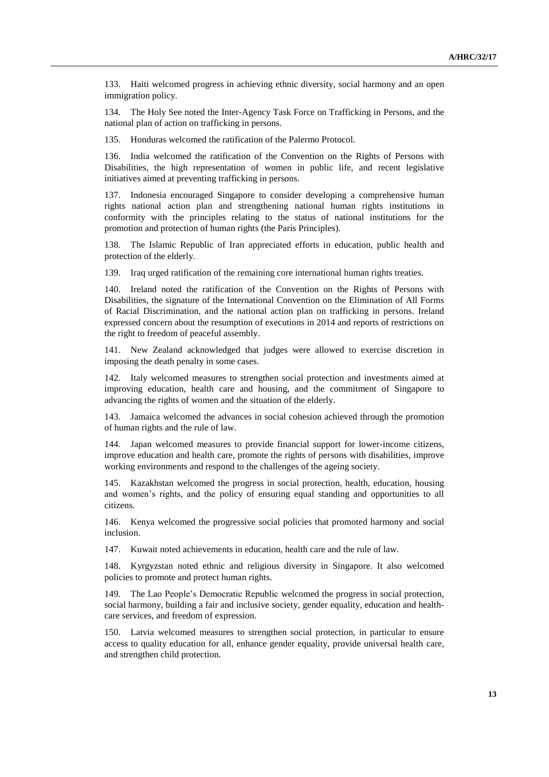133. Haiti welcomed progress in achieving ethnic diversity, social harmony and an open immigration policy.

134. The Holy See noted the Inter-Agency Task Force on Trafficking in Persons, and the national plan of action on trafficking in persons.

135. Honduras welcomed the ratification of the Palermo Protocol.

136. India welcomed the ratification of the Convention on the Rights of Persons with Disabilities, the high representation of women in public life, and recent legislative initiatives aimed at preventing trafficking in persons.

137. Indonesia encouraged Singapore to consider developing a comprehensive human rights national action plan and strengthening national human rights institutions in conformity with the principles relating to the status of national institutions for the promotion and protection of human rights (the Paris Principles).

138. The Islamic Republic of Iran appreciated efforts in education, public health and protection of the elderly.

139. Iraq urged ratification of the remaining core international human rights treaties.

140. Ireland noted the ratification of the Convention on the Rights of Persons with Disabilities, the signature of the International Convention on the Elimination of All Forms of Racial Discrimination, and the national action plan on trafficking in persons. Ireland expressed concern about the resumption of executions in 2014 and reports of restrictions on the right to freedom of peaceful assembly.

141. New Zealand acknowledged that judges were allowed to exercise discretion in imposing the death penalty in some cases.

142. Italy welcomed measures to strengthen social protection and investments aimed at improving education, health care and housing, and the commitment of Singapore to advancing the rights of women and the situation of the elderly.

143. Jamaica welcomed the advances in social cohesion achieved through the promotion of human rights and the rule of law.

144. Japan welcomed measures to provide financial support for lower-income citizens, improve education and health care, promote the rights of persons with disabilities, improve working environments and respond to the challenges of the ageing society.

145. Kazakhstan welcomed the progress in social protection, health, education, housing and women's rights, and the policy of ensuring equal standing and opportunities to all citizens.

146. Kenya welcomed the progressive social policies that promoted harmony and social inclusion.

147. Kuwait noted achievements in education, health care and the rule of law.

148. Kyrgyzstan noted ethnic and religious diversity in Singapore. It also welcomed policies to promote and protect human rights.

149. The Lao People's Democratic Republic welcomed the progress in social protection, social harmony, building a fair and inclusive society, gender equality, education and healthcare services, and freedom of expression.

150. Latvia welcomed measures to strengthen social protection, in particular to ensure access to quality education for all, enhance gender equality, provide universal health care, and strengthen child protection.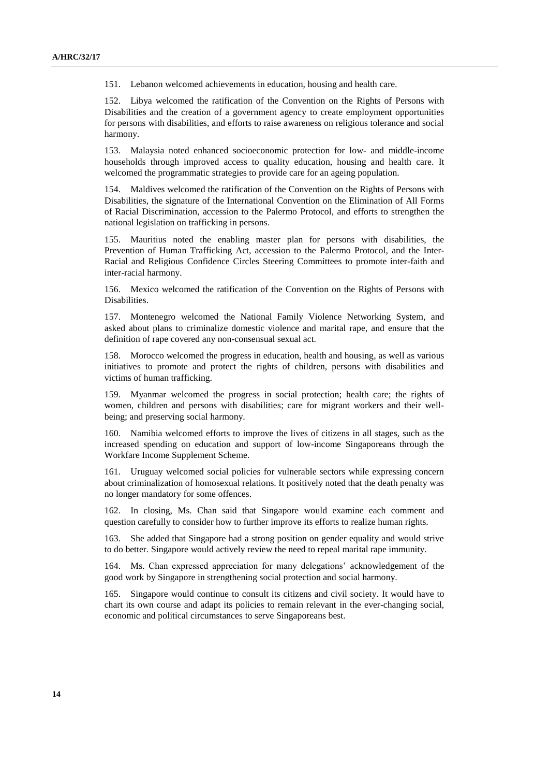151. Lebanon welcomed achievements in education, housing and health care.

152. Libya welcomed the ratification of the Convention on the Rights of Persons with Disabilities and the creation of a government agency to create employment opportunities for persons with disabilities, and efforts to raise awareness on religious tolerance and social harmony.

153. Malaysia noted enhanced socioeconomic protection for low- and middle-income households through improved access to quality education, housing and health care. It welcomed the programmatic strategies to provide care for an ageing population.

154. Maldives welcomed the ratification of the Convention on the Rights of Persons with Disabilities, the signature of the International Convention on the Elimination of All Forms of Racial Discrimination, accession to the Palermo Protocol, and efforts to strengthen the national legislation on trafficking in persons.

155. Mauritius noted the enabling master plan for persons with disabilities, the Prevention of Human Trafficking Act, accession to the Palermo Protocol, and the Inter-Racial and Religious Confidence Circles Steering Committees to promote inter-faith and inter-racial harmony.

156. Mexico welcomed the ratification of the Convention on the Rights of Persons with Disabilities.

157. Montenegro welcomed the National Family Violence Networking System, and asked about plans to criminalize domestic violence and marital rape, and ensure that the definition of rape covered any non-consensual sexual act.

158. Morocco welcomed the progress in education, health and housing, as well as various initiatives to promote and protect the rights of children, persons with disabilities and victims of human trafficking.

159. Myanmar welcomed the progress in social protection; health care; the rights of women, children and persons with disabilities; care for migrant workers and their wellbeing; and preserving social harmony.

160. Namibia welcomed efforts to improve the lives of citizens in all stages, such as the increased spending on education and support of low-income Singaporeans through the Workfare Income Supplement Scheme.

161. Uruguay welcomed social policies for vulnerable sectors while expressing concern about criminalization of homosexual relations. It positively noted that the death penalty was no longer mandatory for some offences.

162. In closing, Ms. Chan said that Singapore would examine each comment and question carefully to consider how to further improve its efforts to realize human rights.

163. She added that Singapore had a strong position on gender equality and would strive to do better. Singapore would actively review the need to repeal marital rape immunity.

164. Ms. Chan expressed appreciation for many delegations' acknowledgement of the good work by Singapore in strengthening social protection and social harmony.

165. Singapore would continue to consult its citizens and civil society. It would have to chart its own course and adapt its policies to remain relevant in the ever-changing social, economic and political circumstances to serve Singaporeans best.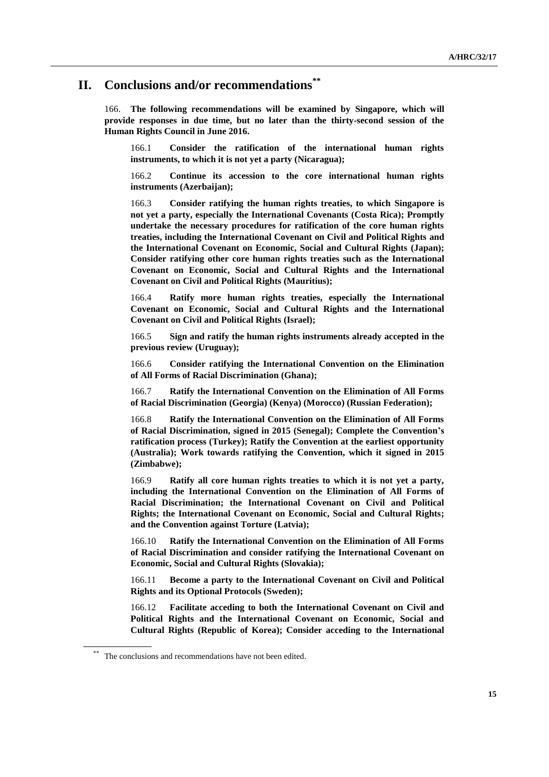# **II. Conclusions and/or recommendations\*\***

166. **The following recommendations will be examined by Singapore, which will provide responses in due time, but no later than the thirty-second session of the Human Rights Council in June 2016.**

166.1 **Consider the ratification of the international human rights instruments, to which it is not yet a party (Nicaragua);**

166.2 **Continue its accession to the core international human rights instruments (Azerbaijan);**

166.3 **Consider ratifying the human rights treaties, to which Singapore is not yet a party, especially the International Covenants (Costa Rica); Promptly undertake the necessary procedures for ratification of the core human rights treaties, including the International Covenant on Civil and Political Rights and the International Covenant on Economic, Social and Cultural Rights (Japan); Consider ratifying other core human rights treaties such as the International Covenant on Economic, Social and Cultural Rights and the International Covenant on Civil and Political Rights (Mauritius);**

166.4 **Ratify more human rights treaties, especially the International Covenant on Economic, Social and Cultural Rights and the International Covenant on Civil and Political Rights (Israel);**

166.5 **Sign and ratify the human rights instruments already accepted in the previous review (Uruguay);**

166.6 **Consider ratifying the International Convention on the Elimination of All Forms of Racial Discrimination (Ghana);**

166.7 **Ratify the International Convention on the Elimination of All Forms of Racial Discrimination (Georgia) (Kenya) (Morocco) (Russian Federation);**

166.8 **Ratify the International Convention on the Elimination of All Forms of Racial Discrimination, signed in 2015 (Senegal); Complete the Convention's ratification process (Turkey); Ratify the Convention at the earliest opportunity (Australia); Work towards ratifying the Convention, which it signed in 2015 (Zimbabwe);**

166.9 **Ratify all core human rights treaties to which it is not yet a party, including the International Convention on the Elimination of All Forms of Racial Discrimination; the International Covenant on Civil and Political Rights; the International Covenant on Economic, Social and Cultural Rights; and the Convention against Torture (Latvia);**

166.10 **Ratify the International Convention on the Elimination of All Forms of Racial Discrimination and consider ratifying the International Covenant on Economic, Social and Cultural Rights (Slovakia);**

166.11 **Become a party to the International Covenant on Civil and Political Rights and its Optional Protocols (Sweden);**

166.12 **Facilitate acceding to both the International Covenant on Civil and Political Rights and the International Covenant on Economic, Social and Cultural Rights (Republic of Korea); Consider acceding to the International** 

<sup>\*\*</sup> The conclusions and recommendations have not been edited.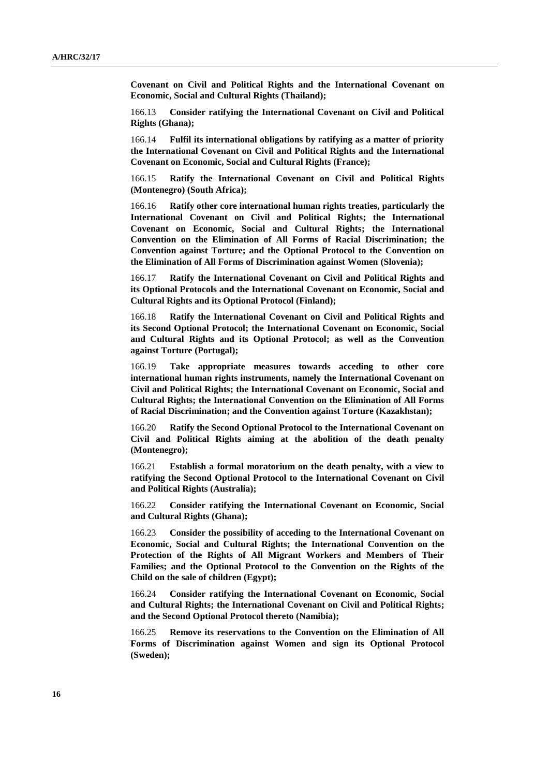**Covenant on Civil and Political Rights and the International Covenant on Economic, Social and Cultural Rights (Thailand);**

166.13 **Consider ratifying the International Covenant on Civil and Political Rights (Ghana);**

166.14 **Fulfil its international obligations by ratifying as a matter of priority the International Covenant on Civil and Political Rights and the International Covenant on Economic, Social and Cultural Rights (France);**

166.15 **Ratify the International Covenant on Civil and Political Rights (Montenegro) (South Africa);**

166.16 **Ratify other core international human rights treaties, particularly the International Covenant on Civil and Political Rights; the International Covenant on Economic, Social and Cultural Rights; the International Convention on the Elimination of All Forms of Racial Discrimination; the Convention against Torture; and the Optional Protocol to the Convention on the Elimination of All Forms of Discrimination against Women (Slovenia);**

166.17 **Ratify the International Covenant on Civil and Political Rights and its Optional Protocols and the International Covenant on Economic, Social and Cultural Rights and its Optional Protocol (Finland);**

166.18 **Ratify the International Covenant on Civil and Political Rights and its Second Optional Protocol; the International Covenant on Economic, Social and Cultural Rights and its Optional Protocol; as well as the Convention against Torture (Portugal);**

166.19 **Take appropriate measures towards acceding to other core international human rights instruments, namely the International Covenant on Civil and Political Rights; the International Covenant on Economic, Social and Cultural Rights; the International Convention on the Elimination of All Forms of Racial Discrimination; and the Convention against Torture (Kazakhstan);**

166.20 **Ratify the Second Optional Protocol to the International Covenant on Civil and Political Rights aiming at the abolition of the death penalty (Montenegro);**

166.21 **Establish a formal moratorium on the death penalty, with a view to ratifying the Second Optional Protocol to the International Covenant on Civil and Political Rights (Australia);**

166.22 **Consider ratifying the International Covenant on Economic, Social and Cultural Rights (Ghana);**

166.23 **Consider the possibility of acceding to the International Covenant on Economic, Social and Cultural Rights; the International Convention on the Protection of the Rights of All Migrant Workers and Members of Their Families; and the Optional Protocol to the Convention on the Rights of the Child on the sale of children (Egypt);**

166.24 **Consider ratifying the International Covenant on Economic, Social and Cultural Rights; the International Covenant on Civil and Political Rights; and the Second Optional Protocol thereto (Namibia);**

166.25 **Remove its reservations to the Convention on the Elimination of All Forms of Discrimination against Women and sign its Optional Protocol (Sweden);**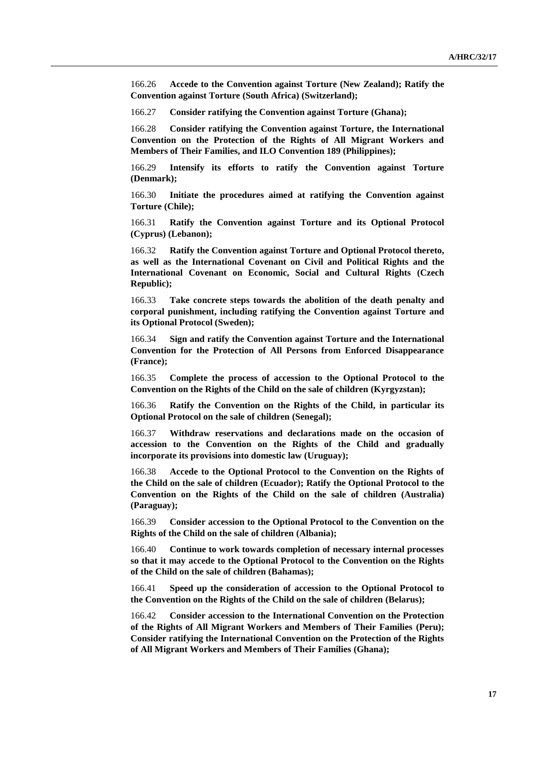166.26 **Accede to the Convention against Torture (New Zealand); Ratify the Convention against Torture (South Africa) (Switzerland);**

166.27 **Consider ratifying the Convention against Torture (Ghana);**

166.28 **Consider ratifying the Convention against Torture, the International Convention on the Protection of the Rights of All Migrant Workers and Members of Their Families, and ILO Convention 189 (Philippines);**

166.29 **Intensify its efforts to ratify the Convention against Torture (Denmark);**

166.30 **Initiate the procedures aimed at ratifying the Convention against Torture (Chile);**

166.31 **Ratify the Convention against Torture and its Optional Protocol (Cyprus) (Lebanon);**

166.32 **Ratify the Convention against Torture and Optional Protocol thereto, as well as the International Covenant on Civil and Political Rights and the International Covenant on Economic, Social and Cultural Rights (Czech Republic);**

166.33 **Take concrete steps towards the abolition of the death penalty and corporal punishment, including ratifying the Convention against Torture and its Optional Protocol (Sweden);**

166.34 **Sign and ratify the Convention against Torture and the International Convention for the Protection of All Persons from Enforced Disappearance (France);**

166.35 **Complete the process of accession to the Optional Protocol to the Convention on the Rights of the Child on the sale of children (Kyrgyzstan);**

166.36 **Ratify the Convention on the Rights of the Child, in particular its Optional Protocol on the sale of children (Senegal);**

166.37 **Withdraw reservations and declarations made on the occasion of accession to the Convention on the Rights of the Child and gradually incorporate its provisions into domestic law (Uruguay);**

166.38 **Accede to the Optional Protocol to the Convention on the Rights of the Child on the sale of children (Ecuador); Ratify the Optional Protocol to the Convention on the Rights of the Child on the sale of children (Australia) (Paraguay);**

166.39 **Consider accession to the Optional Protocol to the Convention on the Rights of the Child on the sale of children (Albania);**

166.40 **Continue to work towards completion of necessary internal processes so that it may accede to the Optional Protocol to the Convention on the Rights of the Child on the sale of children (Bahamas);**

166.41 **Speed up the consideration of accession to the Optional Protocol to the Convention on the Rights of the Child on the sale of children (Belarus);**

166.42 **Consider accession to the International Convention on the Protection of the Rights of All Migrant Workers and Members of Their Families (Peru); Consider ratifying the International Convention on the Protection of the Rights of All Migrant Workers and Members of Their Families (Ghana);**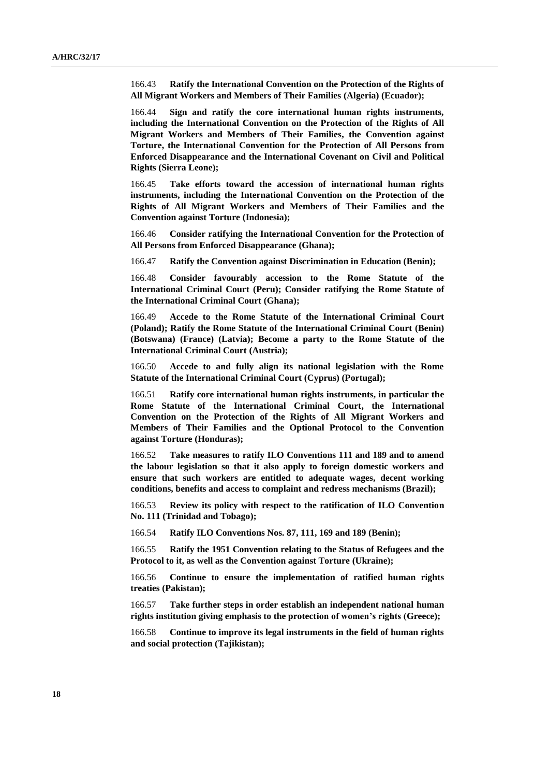166.43 **Ratify the International Convention on the Protection of the Rights of All Migrant Workers and Members of Their Families (Algeria) (Ecuador);**

166.44 **Sign and ratify the core international human rights instruments, including the International Convention on the Protection of the Rights of All Migrant Workers and Members of Their Families, the Convention against Torture, the International Convention for the Protection of All Persons from Enforced Disappearance and the International Covenant on Civil and Political Rights (Sierra Leone);**

166.45 **Take efforts toward the accession of international human rights instruments, including the International Convention on the Protection of the Rights of All Migrant Workers and Members of Their Families and the Convention against Torture (Indonesia);**

166.46 **Consider ratifying the International Convention for the Protection of All Persons from Enforced Disappearance (Ghana);**

166.47 **Ratify the Convention against Discrimination in Education (Benin);**

166.48 **Consider favourably accession to the Rome Statute of the International Criminal Court (Peru); Consider ratifying the Rome Statute of the International Criminal Court (Ghana);**

166.49 **Accede to the Rome Statute of the International Criminal Court (Poland); Ratify the Rome Statute of the International Criminal Court (Benin) (Botswana) (France) (Latvia); Become a party to the Rome Statute of the International Criminal Court (Austria);**

166.50 **Accede to and fully align its national legislation with the Rome Statute of the International Criminal Court (Cyprus) (Portugal);**

166.51 **Ratify core international human rights instruments, in particular the Rome Statute of the International Criminal Court, the International Convention on the Protection of the Rights of All Migrant Workers and Members of Their Families and the Optional Protocol to the Convention against Torture (Honduras);**

166.52 **Take measures to ratify ILO Conventions 111 and 189 and to amend the labour legislation so that it also apply to foreign domestic workers and ensure that such workers are entitled to adequate wages, decent working conditions, benefits and access to complaint and redress mechanisms (Brazil);**

166.53 **Review its policy with respect to the ratification of ILO Convention No. 111 (Trinidad and Tobago);**

166.54 **Ratify ILO Conventions Nos. 87, 111, 169 and 189 (Benin);**

166.55 **Ratify the 1951 Convention relating to the Status of Refugees and the Protocol to it, as well as the Convention against Torture (Ukraine);**

166.56 **Continue to ensure the implementation of ratified human rights treaties (Pakistan);**

166.57 **Take further steps in order establish an independent national human rights institution giving emphasis to the protection of women's rights (Greece);**

166.58 **Continue to improve its legal instruments in the field of human rights and social protection (Tajikistan);**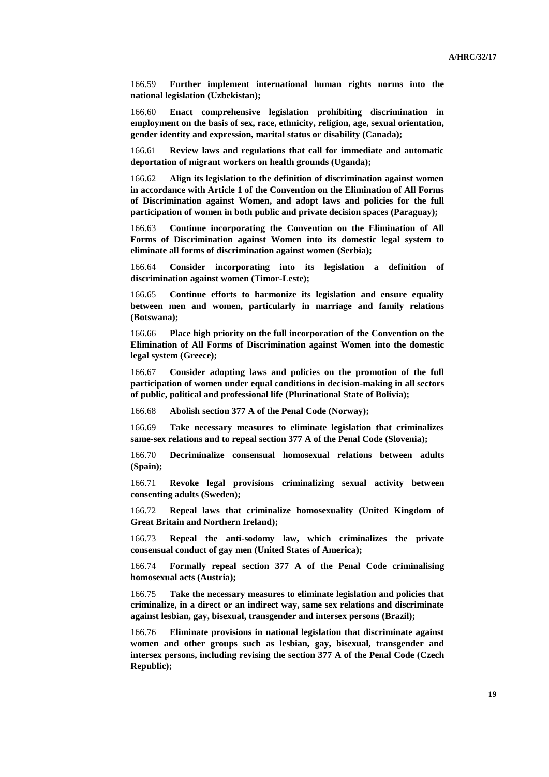166.59 **Further implement international human rights norms into the national legislation (Uzbekistan);**

166.60 **Enact comprehensive legislation prohibiting discrimination in employment on the basis of sex, race, ethnicity, religion, age, sexual orientation, gender identity and expression, marital status or disability (Canada);**

166.61 **Review laws and regulations that call for immediate and automatic deportation of migrant workers on health grounds (Uganda);**

166.62 **Align its legislation to the definition of discrimination against women in accordance with Article 1 of the Convention on the Elimination of All Forms of Discrimination against Women, and adopt laws and policies for the full participation of women in both public and private decision spaces (Paraguay);**

166.63 **Continue incorporating the Convention on the Elimination of All Forms of Discrimination against Women into its domestic legal system to eliminate all forms of discrimination against women (Serbia);**

166.64 **Consider incorporating into its legislation a definition of discrimination against women (Timor-Leste);**

166.65 **Continue efforts to harmonize its legislation and ensure equality between men and women, particularly in marriage and family relations (Botswana);**

166.66 **Place high priority on the full incorporation of the Convention on the Elimination of All Forms of Discrimination against Women into the domestic legal system (Greece);**

166.67 **Consider adopting laws and policies on the promotion of the full participation of women under equal conditions in decision-making in all sectors of public, political and professional life (Plurinational State of Bolivia);**

166.68 **Abolish section 377 A of the Penal Code (Norway);**

166.69 **Take necessary measures to eliminate legislation that criminalizes same-sex relations and to repeal section 377 A of the Penal Code (Slovenia);**

166.70 **Decriminalize consensual homosexual relations between adults (Spain);**

166.71 **Revoke legal provisions criminalizing sexual activity between consenting adults (Sweden);**

166.72 **Repeal laws that criminalize homosexuality (United Kingdom of Great Britain and Northern Ireland);**

166.73 **Repeal the anti-sodomy law, which criminalizes the private consensual conduct of gay men (United States of America);**

166.74 **Formally repeal section 377 A of the Penal Code criminalising homosexual acts (Austria);**

166.75 **Take the necessary measures to eliminate legislation and policies that criminalize, in a direct or an indirect way, same sex relations and discriminate against lesbian, gay, bisexual, transgender and intersex persons (Brazil);**

166.76 **Eliminate provisions in national legislation that discriminate against women and other groups such as lesbian, gay, bisexual, transgender and intersex persons, including revising the section 377 A of the Penal Code (Czech Republic);**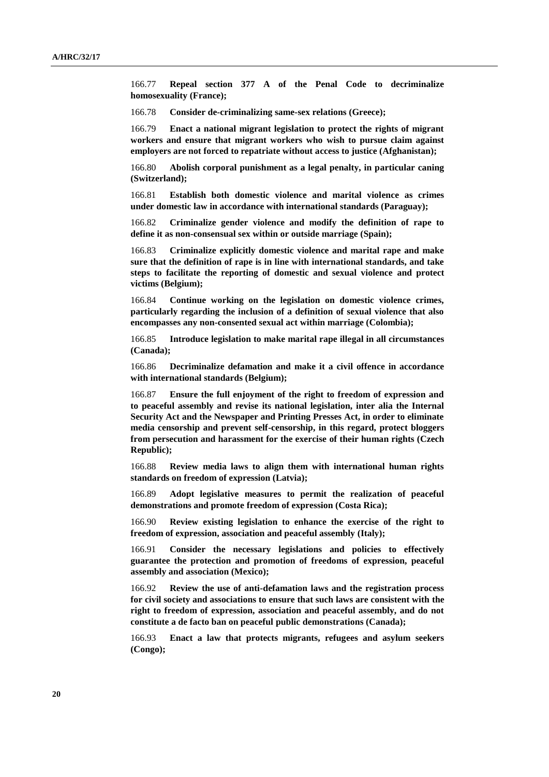166.77 **Repeal section 377 A of the Penal Code to decriminalize homosexuality (France);**

166.78 **Consider de-criminalizing same-sex relations (Greece);**

166.79 **Enact a national migrant legislation to protect the rights of migrant workers and ensure that migrant workers who wish to pursue claim against employers are not forced to repatriate without access to justice (Afghanistan);**

166.80 **Abolish corporal punishment as a legal penalty, in particular caning (Switzerland);**

166.81 **Establish both domestic violence and marital violence as crimes under domestic law in accordance with international standards (Paraguay);**

166.82 **Criminalize gender violence and modify the definition of rape to define it as non-consensual sex within or outside marriage (Spain);**

166.83 **Criminalize explicitly domestic violence and marital rape and make sure that the definition of rape is in line with international standards, and take steps to facilitate the reporting of domestic and sexual violence and protect victims (Belgium);**

166.84 **Continue working on the legislation on domestic violence crimes, particularly regarding the inclusion of a definition of sexual violence that also encompasses any non-consented sexual act within marriage (Colombia);**

166.85 **Introduce legislation to make marital rape illegal in all circumstances (Canada);**

166.86 **Decriminalize defamation and make it a civil offence in accordance with international standards (Belgium);**

166.87 **Ensure the full enjoyment of the right to freedom of expression and to peaceful assembly and revise its national legislation, inter alia the Internal Security Act and the Newspaper and Printing Presses Act, in order to eliminate media censorship and prevent self-censorship, in this regard, protect bloggers from persecution and harassment for the exercise of their human rights (Czech Republic);**

166.88 **Review media laws to align them with international human rights standards on freedom of expression (Latvia);**

166.89 **Adopt legislative measures to permit the realization of peaceful demonstrations and promote freedom of expression (Costa Rica);**

166.90 **Review existing legislation to enhance the exercise of the right to freedom of expression, association and peaceful assembly (Italy);**

166.91 **Consider the necessary legislations and policies to effectively guarantee the protection and promotion of freedoms of expression, peaceful assembly and association (Mexico);**

166.92 **Review the use of anti-defamation laws and the registration process for civil society and associations to ensure that such laws are consistent with the right to freedom of expression, association and peaceful assembly, and do not constitute a de facto ban on peaceful public demonstrations (Canada);**

166.93 **Enact a law that protects migrants, refugees and asylum seekers (Congo);**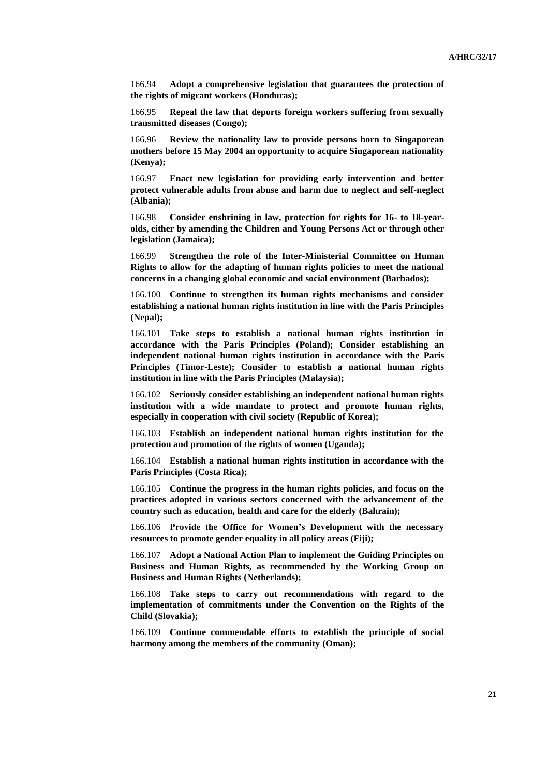166.94 **Adopt a comprehensive legislation that guarantees the protection of the rights of migrant workers (Honduras);**

166.95 **Repeal the law that deports foreign workers suffering from sexually transmitted diseases (Congo);**

166.96 **Review the nationality law to provide persons born to Singaporean mothers before 15 May 2004 an opportunity to acquire Singaporean nationality (Kenya);**

166.97 **Enact new legislation for providing early intervention and better protect vulnerable adults from abuse and harm due to neglect and self-neglect (Albania);**

166.98 **Consider enshrining in law, protection for rights for 16- to 18-yearolds, either by amending the Children and Young Persons Act or through other legislation (Jamaica);**

166.99 **Strengthen the role of the Inter-Ministerial Committee on Human Rights to allow for the adapting of human rights policies to meet the national concerns in a changing global economic and social environment (Barbados);**

166.100 **Continue to strengthen its human rights mechanisms and consider establishing a national human rights institution in line with the Paris Principles (Nepal);**

166.101 **Take steps to establish a national human rights institution in accordance with the Paris Principles (Poland); Consider establishing an independent national human rights institution in accordance with the Paris Principles (Timor-Leste); Consider to establish a national human rights institution in line with the Paris Principles (Malaysia);**

166.102 **Seriously consider establishing an independent national human rights institution with a wide mandate to protect and promote human rights, especially in cooperation with civil society (Republic of Korea);**

166.103 **Establish an independent national human rights institution for the protection and promotion of the rights of women (Uganda);**

166.104 **Establish a national human rights institution in accordance with the Paris Principles (Costa Rica);**

166.105 **Continue the progress in the human rights policies, and focus on the practices adopted in various sectors concerned with the advancement of the country such as education, health and care for the elderly (Bahrain);**

166.106 **Provide the Office for Women's Development with the necessary resources to promote gender equality in all policy areas (Fiji);**

166.107 **Adopt a National Action Plan to implement the Guiding Principles on Business and Human Rights, as recommended by the Working Group on Business and Human Rights (Netherlands);**

166.108 **Take steps to carry out recommendations with regard to the implementation of commitments under the Convention on the Rights of the Child (Slovakia);**

166.109 **Continue commendable efforts to establish the principle of social harmony among the members of the community (Oman);**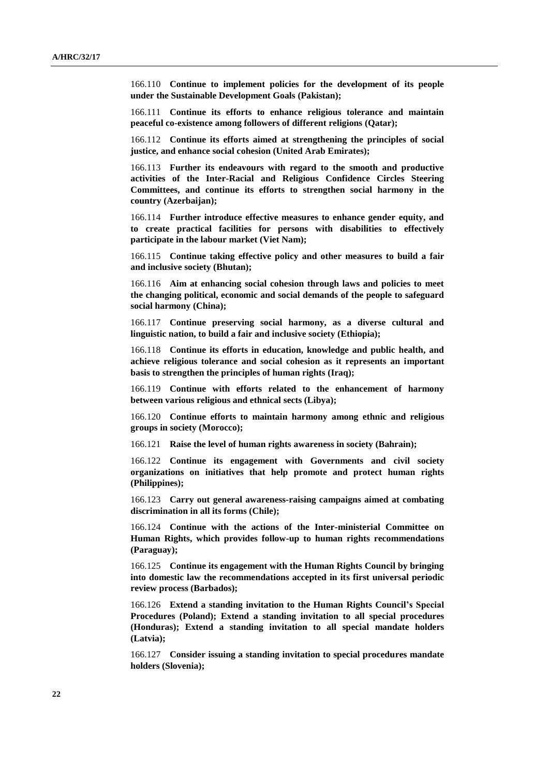166.110 **Continue to implement policies for the development of its people under the Sustainable Development Goals (Pakistan);**

166.111 **Continue its efforts to enhance religious tolerance and maintain peaceful co-existence among followers of different religions (Qatar);**

166.112 **Continue its efforts aimed at strengthening the principles of social justice, and enhance social cohesion (United Arab Emirates);**

166.113 **Further its endeavours with regard to the smooth and productive activities of the Inter-Racial and Religious Confidence Circles Steering Committees, and continue its efforts to strengthen social harmony in the country (Azerbaijan);**

166.114 **Further introduce effective measures to enhance gender equity, and to create practical facilities for persons with disabilities to effectively participate in the labour market (Viet Nam);**

166.115 **Continue taking effective policy and other measures to build a fair and inclusive society (Bhutan);**

166.116 **Aim at enhancing social cohesion through laws and policies to meet the changing political, economic and social demands of the people to safeguard social harmony (China);**

166.117 **Continue preserving social harmony, as a diverse cultural and linguistic nation, to build a fair and inclusive society (Ethiopia);**

166.118 **Continue its efforts in education, knowledge and public health, and achieve religious tolerance and social cohesion as it represents an important basis to strengthen the principles of human rights (Iraq);**

166.119 **Continue with efforts related to the enhancement of harmony between various religious and ethnical sects (Libya);**

166.120 **Continue efforts to maintain harmony among ethnic and religious groups in society (Morocco);**

166.121 **Raise the level of human rights awareness in society (Bahrain);**

166.122 **Continue its engagement with Governments and civil society organizations on initiatives that help promote and protect human rights (Philippines);**

166.123 **Carry out general awareness-raising campaigns aimed at combating discrimination in all its forms (Chile);**

166.124 **Continue with the actions of the Inter-ministerial Committee on Human Rights, which provides follow-up to human rights recommendations (Paraguay);**

166.125 **Continue its engagement with the Human Rights Council by bringing into domestic law the recommendations accepted in its first universal periodic review process (Barbados);**

166.126 **Extend a standing invitation to the Human Rights Council's Special Procedures (Poland); Extend a standing invitation to all special procedures (Honduras); Extend a standing invitation to all special mandate holders (Latvia);**

166.127 **Consider issuing a standing invitation to special procedures mandate holders (Slovenia);**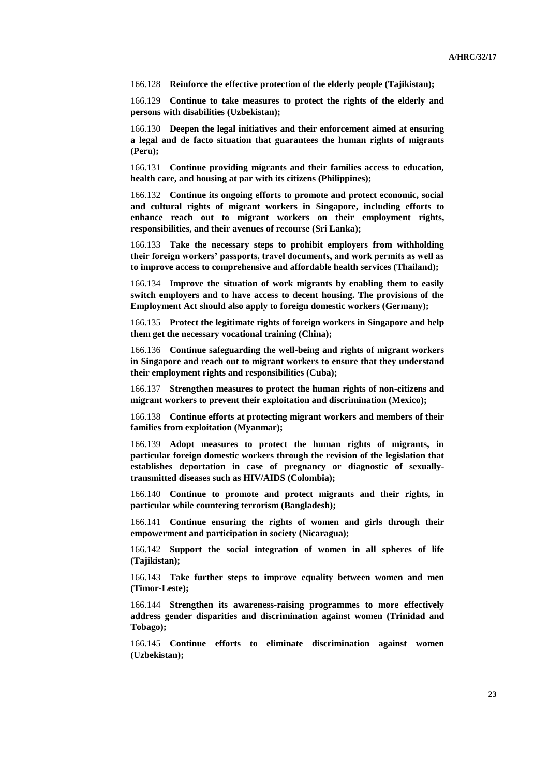166.128 **Reinforce the effective protection of the elderly people (Tajikistan);**

166.129 **Continue to take measures to protect the rights of the elderly and persons with disabilities (Uzbekistan);**

166.130 **Deepen the legal initiatives and their enforcement aimed at ensuring a legal and de facto situation that guarantees the human rights of migrants (Peru);**

166.131 **Continue providing migrants and their families access to education, health care, and housing at par with its citizens (Philippines);**

166.132 **Continue its ongoing efforts to promote and protect economic, social and cultural rights of migrant workers in Singapore, including efforts to enhance reach out to migrant workers on their employment rights, responsibilities, and their avenues of recourse (Sri Lanka);**

166.133 **Take the necessary steps to prohibit employers from withholding their foreign workers' passports, travel documents, and work permits as well as to improve access to comprehensive and affordable health services (Thailand);**

166.134 **Improve the situation of work migrants by enabling them to easily switch employers and to have access to decent housing. The provisions of the Employment Act should also apply to foreign domestic workers (Germany);**

166.135 **Protect the legitimate rights of foreign workers in Singapore and help them get the necessary vocational training (China);**

166.136 **Continue safeguarding the well-being and rights of migrant workers in Singapore and reach out to migrant workers to ensure that they understand their employment rights and responsibilities (Cuba);**

166.137 **Strengthen measures to protect the human rights of non-citizens and migrant workers to prevent their exploitation and discrimination (Mexico);**

166.138 **Continue efforts at protecting migrant workers and members of their families from exploitation (Myanmar);**

166.139 **Adopt measures to protect the human rights of migrants, in particular foreign domestic workers through the revision of the legislation that establishes deportation in case of pregnancy or diagnostic of sexuallytransmitted diseases such as HIV/AIDS (Colombia);**

166.140 **Continue to promote and protect migrants and their rights, in particular while countering terrorism (Bangladesh);**

166.141 **Continue ensuring the rights of women and girls through their empowerment and participation in society (Nicaragua);**

166.142 **Support the social integration of women in all spheres of life (Tajikistan);**

166.143 **Take further steps to improve equality between women and men (Timor-Leste);**

166.144 **Strengthen its awareness-raising programmes to more effectively address gender disparities and discrimination against women (Trinidad and Tobago);**

166.145 **Continue efforts to eliminate discrimination against women (Uzbekistan);**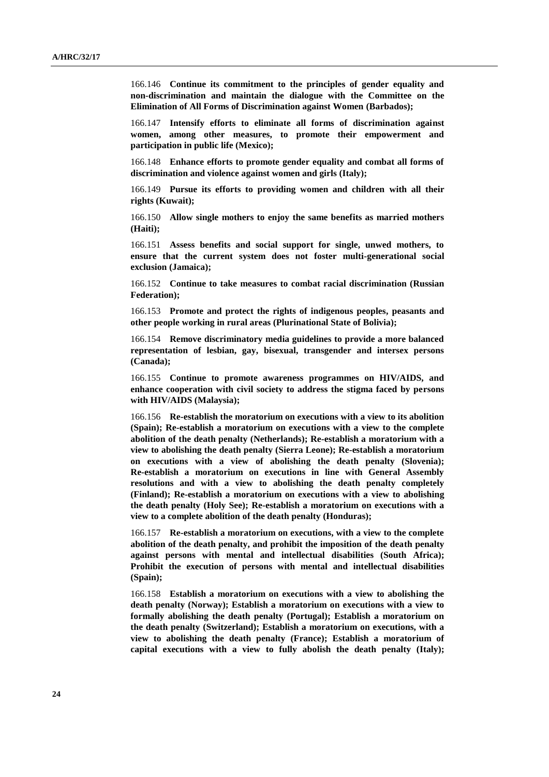166.146 **Continue its commitment to the principles of gender equality and non-discrimination and maintain the dialogue with the Committee on the Elimination of All Forms of Discrimination against Women (Barbados);**

166.147 **Intensify efforts to eliminate all forms of discrimination against women, among other measures, to promote their empowerment and participation in public life (Mexico);**

166.148 **Enhance efforts to promote gender equality and combat all forms of discrimination and violence against women and girls (Italy);**

166.149 **Pursue its efforts to providing women and children with all their rights (Kuwait);**

166.150 **Allow single mothers to enjoy the same benefits as married mothers (Haiti);**

166.151 **Assess benefits and social support for single, unwed mothers, to ensure that the current system does not foster multi-generational social exclusion (Jamaica);**

166.152 **Continue to take measures to combat racial discrimination (Russian Federation);**

166.153 **Promote and protect the rights of indigenous peoples, peasants and other people working in rural areas (Plurinational State of Bolivia);**

166.154 **Remove discriminatory media guidelines to provide a more balanced representation of lesbian, gay, bisexual, transgender and intersex persons (Canada);**

166.155 **Continue to promote awareness programmes on HIV/AIDS, and enhance cooperation with civil society to address the stigma faced by persons with HIV/AIDS (Malaysia);**

166.156 **Re-establish the moratorium on executions with a view to its abolition (Spain); Re-establish a moratorium on executions with a view to the complete abolition of the death penalty (Netherlands); Re-establish a moratorium with a view to abolishing the death penalty (Sierra Leone); Re-establish a moratorium on executions with a view of abolishing the death penalty (Slovenia); Re-establish a moratorium on executions in line with General Assembly resolutions and with a view to abolishing the death penalty completely (Finland); Re-establish a moratorium on executions with a view to abolishing the death penalty (Holy See); Re-establish a moratorium on executions with a view to a complete abolition of the death penalty (Honduras);**

166.157 **Re-establish a moratorium on executions, with a view to the complete abolition of the death penalty, and prohibit the imposition of the death penalty against persons with mental and intellectual disabilities (South Africa); Prohibit the execution of persons with mental and intellectual disabilities (Spain);**

166.158 **Establish a moratorium on executions with a view to abolishing the death penalty (Norway); Establish a moratorium on executions with a view to formally abolishing the death penalty (Portugal); Establish a moratorium on the death penalty (Switzerland); Establish a moratorium on executions, with a view to abolishing the death penalty (France); Establish a moratorium of capital executions with a view to fully abolish the death penalty (Italy);**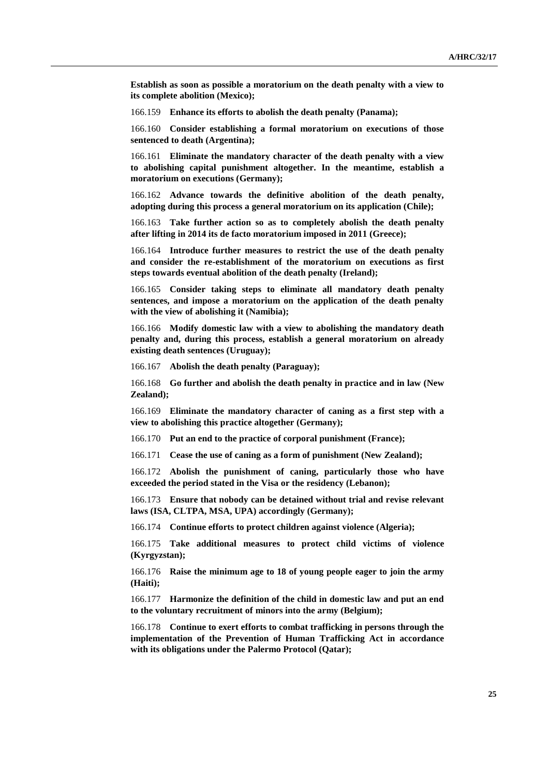**Establish as soon as possible a moratorium on the death penalty with a view to its complete abolition (Mexico);**

166.159 **Enhance its efforts to abolish the death penalty (Panama);**

166.160 **Consider establishing a formal moratorium on executions of those sentenced to death (Argentina);**

166.161 **Eliminate the mandatory character of the death penalty with a view to abolishing capital punishment altogether. In the meantime, establish a moratorium on executions (Germany);**

166.162 **Advance towards the definitive abolition of the death penalty, adopting during this process a general moratorium on its application (Chile);**

166.163 **Take further action so as to completely abolish the death penalty after lifting in 2014 its de facto moratorium imposed in 2011 (Greece);**

166.164 **Introduce further measures to restrict the use of the death penalty and consider the re-establishment of the moratorium on executions as first steps towards eventual abolition of the death penalty (Ireland);**

166.165 **Consider taking steps to eliminate all mandatory death penalty sentences, and impose a moratorium on the application of the death penalty with the view of abolishing it (Namibia);**

166.166 **Modify domestic law with a view to abolishing the mandatory death penalty and, during this process, establish a general moratorium on already existing death sentences (Uruguay);**

166.167 **Abolish the death penalty (Paraguay);**

166.168 **Go further and abolish the death penalty in practice and in law (New Zealand);**

166.169 **Eliminate the mandatory character of caning as a first step with a view to abolishing this practice altogether (Germany);**

166.170 **Put an end to the practice of corporal punishment (France);**

166.171 **Cease the use of caning as a form of punishment (New Zealand);**

166.172 **Abolish the punishment of caning, particularly those who have exceeded the period stated in the Visa or the residency (Lebanon);**

166.173 **Ensure that nobody can be detained without trial and revise relevant laws (ISA, CLTPA, MSA, UPA) accordingly (Germany);**

166.174 **Continue efforts to protect children against violence (Algeria);**

166.175 **Take additional measures to protect child victims of violence (Kyrgyzstan);**

166.176 **Raise the minimum age to 18 of young people eager to join the army (Haiti);**

166.177 **Harmonize the definition of the child in domestic law and put an end to the voluntary recruitment of minors into the army (Belgium);**

166.178 **Continue to exert efforts to combat trafficking in persons through the implementation of the Prevention of Human Trafficking Act in accordance with its obligations under the Palermo Protocol (Qatar);**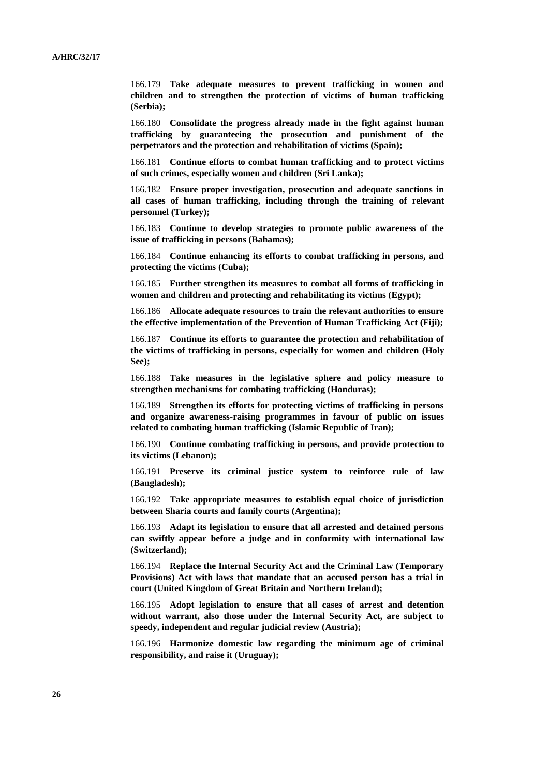166.179 **Take adequate measures to prevent trafficking in women and children and to strengthen the protection of victims of human trafficking (Serbia);**

166.180 **Consolidate the progress already made in the fight against human trafficking by guaranteeing the prosecution and punishment of the perpetrators and the protection and rehabilitation of victims (Spain);**

166.181 **Continue efforts to combat human trafficking and to protect victims of such crimes, especially women and children (Sri Lanka);**

166.182 **Ensure proper investigation, prosecution and adequate sanctions in all cases of human trafficking, including through the training of relevant personnel (Turkey);**

166.183 **Continue to develop strategies to promote public awareness of the issue of trafficking in persons (Bahamas);**

166.184 **Continue enhancing its efforts to combat trafficking in persons, and protecting the victims (Cuba);**

166.185 **Further strengthen its measures to combat all forms of trafficking in women and children and protecting and rehabilitating its victims (Egypt);**

166.186 **Allocate adequate resources to train the relevant authorities to ensure the effective implementation of the Prevention of Human Trafficking Act (Fiji);**

166.187 **Continue its efforts to guarantee the protection and rehabilitation of the victims of trafficking in persons, especially for women and children (Holy See);**

166.188 **Take measures in the legislative sphere and policy measure to strengthen mechanisms for combating trafficking (Honduras);**

166.189 **Strengthen its efforts for protecting victims of trafficking in persons and organize awareness-raising programmes in favour of public on issues related to combating human trafficking (Islamic Republic of Iran);**

166.190 **Continue combating trafficking in persons, and provide protection to its victims (Lebanon);**

166.191 **Preserve its criminal justice system to reinforce rule of law (Bangladesh);**

166.192 **Take appropriate measures to establish equal choice of jurisdiction between Sharia courts and family courts (Argentina);**

166.193 **Adapt its legislation to ensure that all arrested and detained persons can swiftly appear before a judge and in conformity with international law (Switzerland);**

166.194 **Replace the Internal Security Act and the Criminal Law (Temporary Provisions) Act with laws that mandate that an accused person has a trial in court (United Kingdom of Great Britain and Northern Ireland);**

166.195 **Adopt legislation to ensure that all cases of arrest and detention without warrant, also those under the Internal Security Act, are subject to speedy, independent and regular judicial review (Austria);**

166.196 **Harmonize domestic law regarding the minimum age of criminal responsibility, and raise it (Uruguay);**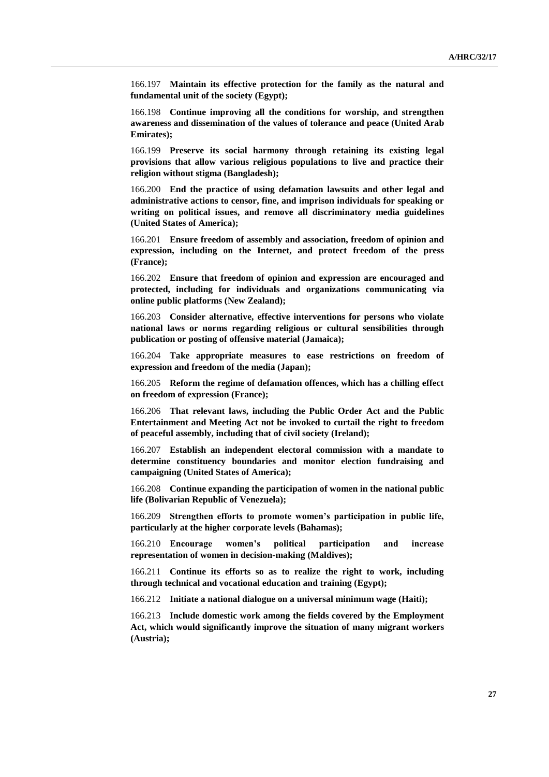166.197 **Maintain its effective protection for the family as the natural and fundamental unit of the society (Egypt);**

166.198 **Continue improving all the conditions for worship, and strengthen awareness and dissemination of the values of tolerance and peace (United Arab Emirates);**

166.199 **Preserve its social harmony through retaining its existing legal provisions that allow various religious populations to live and practice their religion without stigma (Bangladesh);**

166.200 **End the practice of using defamation lawsuits and other legal and administrative actions to censor, fine, and imprison individuals for speaking or writing on political issues, and remove all discriminatory media guidelines (United States of America);**

166.201 **Ensure freedom of assembly and association, freedom of opinion and expression, including on the Internet, and protect freedom of the press (France);**

166.202 **Ensure that freedom of opinion and expression are encouraged and protected, including for individuals and organizations communicating via online public platforms (New Zealand);**

166.203 **Consider alternative, effective interventions for persons who violate national laws or norms regarding religious or cultural sensibilities through publication or posting of offensive material (Jamaica);**

166.204 **Take appropriate measures to ease restrictions on freedom of expression and freedom of the media (Japan);**

166.205 **Reform the regime of defamation offences, which has a chilling effect on freedom of expression (France);**

166.206 **That relevant laws, including the Public Order Act and the Public Entertainment and Meeting Act not be invoked to curtail the right to freedom of peaceful assembly, including that of civil society (Ireland);**

166.207 **Establish an independent electoral commission with a mandate to determine constituency boundaries and monitor election fundraising and campaigning (United States of America);**

166.208 **Continue expanding the participation of women in the national public life (Bolivarian Republic of Venezuela);**

166.209 **Strengthen efforts to promote women's participation in public life, particularly at the higher corporate levels (Bahamas);**

166.210 **Encourage women's political participation and increase representation of women in decision-making (Maldives);**

166.211 **Continue its efforts so as to realize the right to work, including through technical and vocational education and training (Egypt);**

166.212 **Initiate a national dialogue on a universal minimum wage (Haiti);**

166.213 **Include domestic work among the fields covered by the Employment Act, which would significantly improve the situation of many migrant workers (Austria);**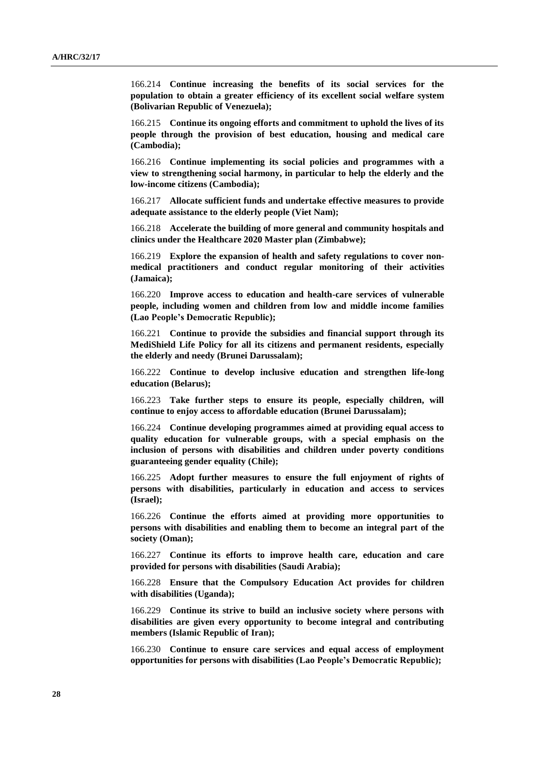166.214 **Continue increasing the benefits of its social services for the population to obtain a greater efficiency of its excellent social welfare system (Bolivarian Republic of Venezuela);**

166.215 **Continue its ongoing efforts and commitment to uphold the lives of its people through the provision of best education, housing and medical care (Cambodia);**

166.216 **Continue implementing its social policies and programmes with a view to strengthening social harmony, in particular to help the elderly and the low-income citizens (Cambodia);**

166.217 **Allocate sufficient funds and undertake effective measures to provide adequate assistance to the elderly people (Viet Nam);**

166.218 **Accelerate the building of more general and community hospitals and clinics under the Healthcare 2020 Master plan (Zimbabwe);**

166.219 **Explore the expansion of health and safety regulations to cover nonmedical practitioners and conduct regular monitoring of their activities (Jamaica);**

166.220 **Improve access to education and health-care services of vulnerable people, including women and children from low and middle income families (Lao People's Democratic Republic);**

166.221 **Continue to provide the subsidies and financial support through its MediShield Life Policy for all its citizens and permanent residents, especially the elderly and needy (Brunei Darussalam);**

166.222 **Continue to develop inclusive education and strengthen life-long education (Belarus);**

166.223 **Take further steps to ensure its people, especially children, will continue to enjoy access to affordable education (Brunei Darussalam);**

166.224 **Continue developing programmes aimed at providing equal access to quality education for vulnerable groups, with a special emphasis on the inclusion of persons with disabilities and children under poverty conditions guaranteeing gender equality (Chile);**

166.225 **Adopt further measures to ensure the full enjoyment of rights of persons with disabilities, particularly in education and access to services (Israel);**

166.226 **Continue the efforts aimed at providing more opportunities to persons with disabilities and enabling them to become an integral part of the society (Oman);**

166.227 **Continue its efforts to improve health care, education and care provided for persons with disabilities (Saudi Arabia);**

166.228 **Ensure that the Compulsory Education Act provides for children with disabilities (Uganda);**

166.229 **Continue its strive to build an inclusive society where persons with disabilities are given every opportunity to become integral and contributing members (Islamic Republic of Iran);**

166.230 **Continue to ensure care services and equal access of employment opportunities for persons with disabilities (Lao People's Democratic Republic);**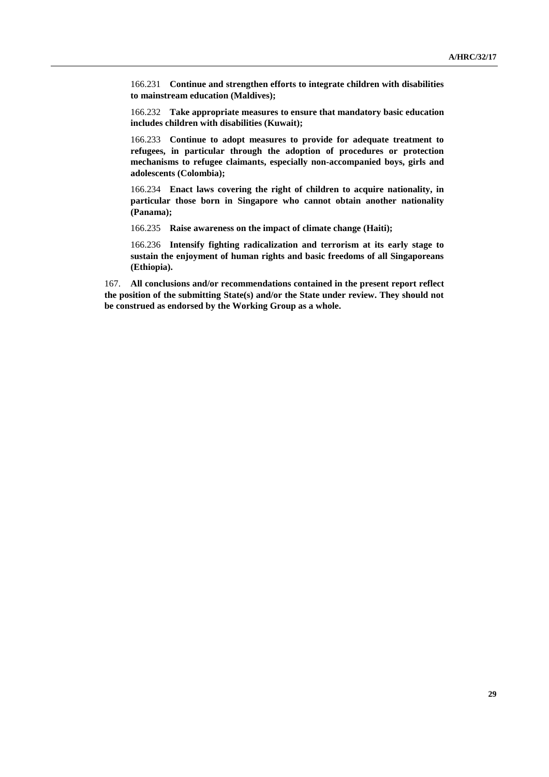166.231 **Continue and strengthen efforts to integrate children with disabilities to mainstream education (Maldives);**

166.232 **Take appropriate measures to ensure that mandatory basic education includes children with disabilities (Kuwait);**

166.233 **Continue to adopt measures to provide for adequate treatment to refugees, in particular through the adoption of procedures or protection mechanisms to refugee claimants, especially non-accompanied boys, girls and adolescents (Colombia);**

166.234 **Enact laws covering the right of children to acquire nationality, in particular those born in Singapore who cannot obtain another nationality (Panama);**

166.235 **Raise awareness on the impact of climate change (Haiti);**

166.236 **Intensify fighting radicalization and terrorism at its early stage to sustain the enjoyment of human rights and basic freedoms of all Singaporeans (Ethiopia).**

167. **All conclusions and/or recommendations contained in the present report reflect the position of the submitting State(s) and/or the State under review. They should not be construed as endorsed by the Working Group as a whole.**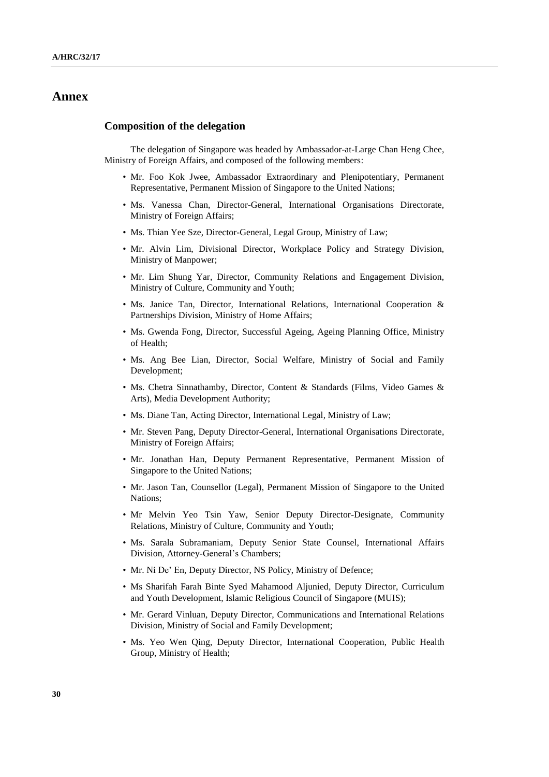## **Annex**

#### **Composition of the delegation**

The delegation of Singapore was headed by Ambassador-at-Large Chan Heng Chee, Ministry of Foreign Affairs, and composed of the following members:

- Mr. Foo Kok Jwee, Ambassador Extraordinary and Plenipotentiary, Permanent Representative, Permanent Mission of Singapore to the United Nations;
- Ms. Vanessa Chan, Director-General, International Organisations Directorate, Ministry of Foreign Affairs;
- Ms. Thian Yee Sze, Director-General, Legal Group, Ministry of Law;
- Mr. Alvin Lim, Divisional Director, Workplace Policy and Strategy Division, Ministry of Manpower;
- Mr. Lim Shung Yar, Director, Community Relations and Engagement Division, Ministry of Culture, Community and Youth;
- Ms. Janice Tan, Director, International Relations, International Cooperation & Partnerships Division, Ministry of Home Affairs;
- Ms. Gwenda Fong, Director, Successful Ageing, Ageing Planning Office, Ministry of Health;
- Ms. Ang Bee Lian, Director, Social Welfare, Ministry of Social and Family Development;
- Ms. Chetra Sinnathamby, Director, Content & Standards (Films, Video Games & Arts), Media Development Authority;
- Ms. Diane Tan, Acting Director, International Legal, Ministry of Law;
- Mr. Steven Pang, Deputy Director-General, International Organisations Directorate, Ministry of Foreign Affairs;
- Mr. Jonathan Han, Deputy Permanent Representative, Permanent Mission of Singapore to the United Nations;
- Mr. Jason Tan, Counsellor (Legal), Permanent Mission of Singapore to the United Nations;
- Mr Melvin Yeo Tsin Yaw, Senior Deputy Director-Designate, Community Relations, Ministry of Culture, Community and Youth;
- Ms. Sarala Subramaniam, Deputy Senior State Counsel, International Affairs Division, Attorney-General's Chambers;
- Mr. Ni De' En, Deputy Director, NS Policy, Ministry of Defence;
- Ms Sharifah Farah Binte Syed Mahamood Aljunied, Deputy Director, Curriculum and Youth Development, Islamic Religious Council of Singapore (MUIS);
- Mr. Gerard Vinluan, Deputy Director, Communications and International Relations Division, Ministry of Social and Family Development;
- Ms. Yeo Wen Qing, Deputy Director, International Cooperation, Public Health Group, Ministry of Health;